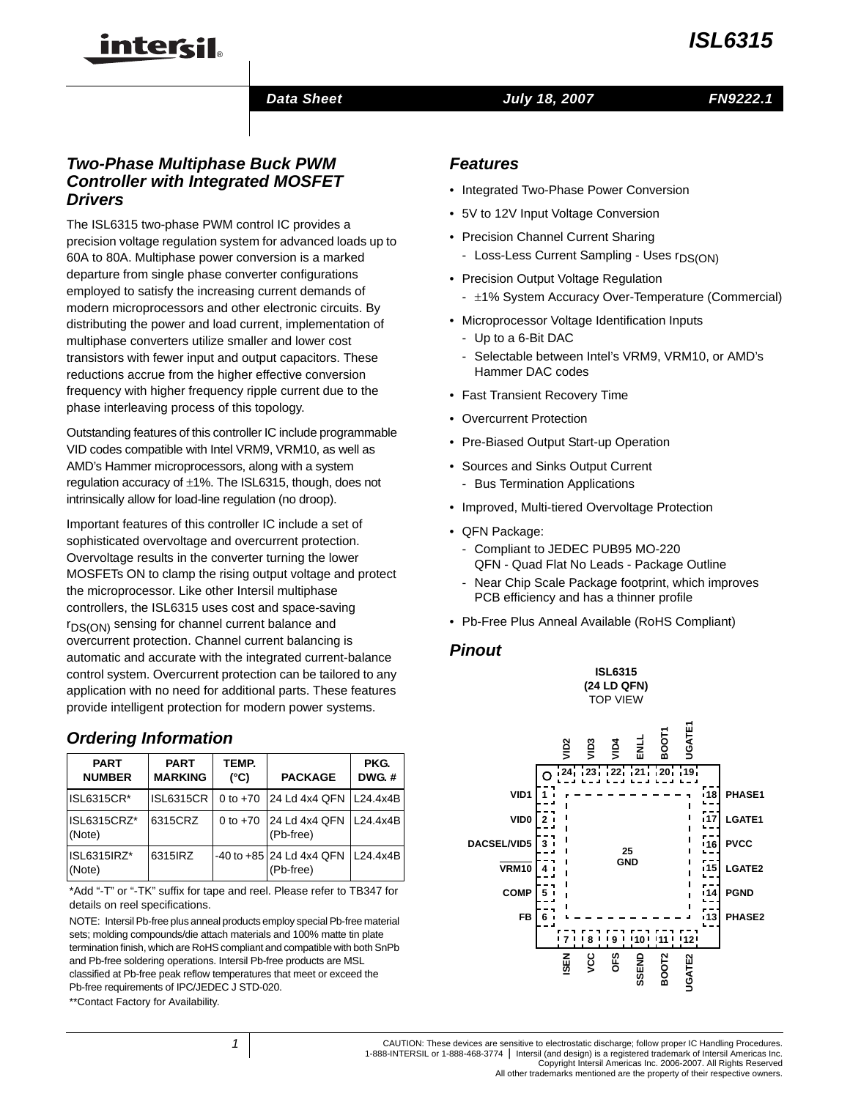

### *Data Sheet July 18, 2007*

*FN9222.1*

## *Two-Phase Multiphase Buck PWM Controller with Integrated MOSFET Drivers*

intersil

The ISL6315 two-phase PWM control IC provides a precision voltage regulation system for advanced loads up to 60A to 80A. Multiphase power conversion is a marked departure from single phase converter configurations employed to satisfy the increasing current demands of modern microprocessors and other electronic circuits. By distributing the power and load current, implementation of multiphase converters utilize smaller and lower cost transistors with fewer input and output capacitors. These reductions accrue from the higher effective conversion frequency with higher frequency ripple current due to the phase interleaving process of this topology.

Outstanding features of this controller IC include programmable VID codes compatible with Intel VRM9, VRM10, as well as AMD's Hammer microprocessors, along with a system regulation accuracy of ±1%. The ISL6315, though, does not intrinsically allow for load-line regulation (no droop).

Important features of this controller IC include a set of sophisticated overvoltage and overcurrent protection. Overvoltage results in the converter turning the lower MOSFETs ON to clamp the rising output voltage and protect the microprocessor. Like other Intersil multiphase controllers, the ISL6315 uses cost and space-saving  $r_{DS(ON)}$  sensing for channel current balance and overcurrent protection. Channel current balancing is automatic and accurate with the integrated current-balance control system. Overcurrent protection can be tailored to any application with no need for additional parts. These features provide intelligent protection for modern power systems.

## *Ordering Information*

| <b>PART</b><br><b>NUMBER</b> | <b>PART</b><br><b>MARKING</b> | TEMP.<br>$(^{\circ}C)$ | <b>PACKAGE</b>                            | PKG.<br><b>DWG.#</b> |
|------------------------------|-------------------------------|------------------------|-------------------------------------------|----------------------|
| <b>ISL6315CR*</b>            | <b>ISL6315CR</b>              | 0 to $+70$             | 24 Ld 4x4 QFN   L24.4x4B                  |                      |
| ISL6315CRZ*<br>(Note)        | 6315CRZ                       | 0 to $+70$             | 24 Ld 4x4 QFN   L24.4x4B<br>(Pb-free)     |                      |
| ISL6315IRZ*<br>(Note)        | 6315 RZ                       |                        | $-40$ to $+85$ 24 Ld 4x4 QFN<br>(Pb-free) | L24.4x4B             |

[\\*Add "-T" or "-TK" suffix for tape and reel. Please refer to TB347 for](http://www.intersil.com/data/tb/tb347.pdf)  details on reel specifications.

NOTE: Intersil Pb-free plus anneal products employ special Pb-free material sets; molding compounds/die attach materials and 100% matte tin plate termination finish, which are RoHS compliant and compatible with both SnPb and Pb-free soldering operations. Intersil Pb-free products are MSL classified at Pb-free peak reflow temperatures that meet or exceed the Pb-free requirements of IPC/JEDEC J STD-020.

\*\*Contact Factory for Availability.

- Integrated Two-Phase Power Conversion
- 5V to 12V Input Voltage Conversion
- Precision Channel Current Sharing
	- Loss-Less Current Sampling Uses r<sub>DS(ON)</sub>
- Precision Output Voltage Regulation
	- $\pm$ 1% System Accuracy Over-Temperature (Commercial)
- Microprocessor Voltage Identification Inputs
	- Up to a 6-Bit DAC
	- Selectable between Intel's VRM9, VRM10, or AMD's Hammer DAC codes
- Fast Transient Recovery Time
- Overcurrent Protection
- Pre-Biased Output Start-up Operation
- Sources and Sinks Output Current
	- Bus Termination Applications
- Improved, Multi-tiered Overvoltage Protection
- QFN Package:
	- Compliant to JEDEC PUB95 MO-220 QFN - Quad Flat No Leads - Package Outline
	- Near Chip Scale Package footprint, which improves PCB efficiency and has a thinner profile
- Pb-Free Plus Anneal Available (RoHS Compliant)

### *Pinout*





CAUTION: These devices are sensitive to electrostatic discharge; follow proper IC Handling Procedures. 1-888-INTERSIL or 1-888-468-3774 | Intersil (and design) is a registered trademark of Intersil Americas Inc. Copyright Intersil Americas Inc. 2006-2007. All Rights Reserved

All other trademarks mentioned are the property of their respective owners.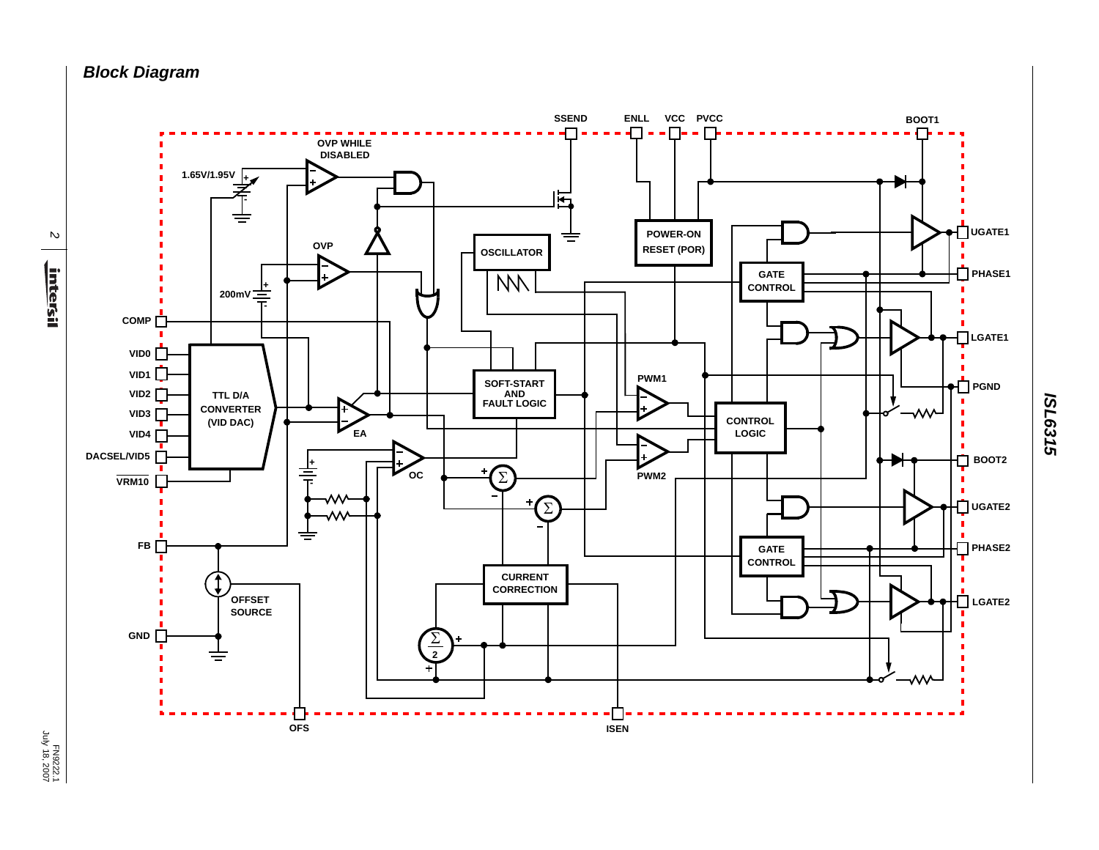*Block Diagram*



*ISL6315*

FN9222.1<br>July 18, 2007 July 18, 2007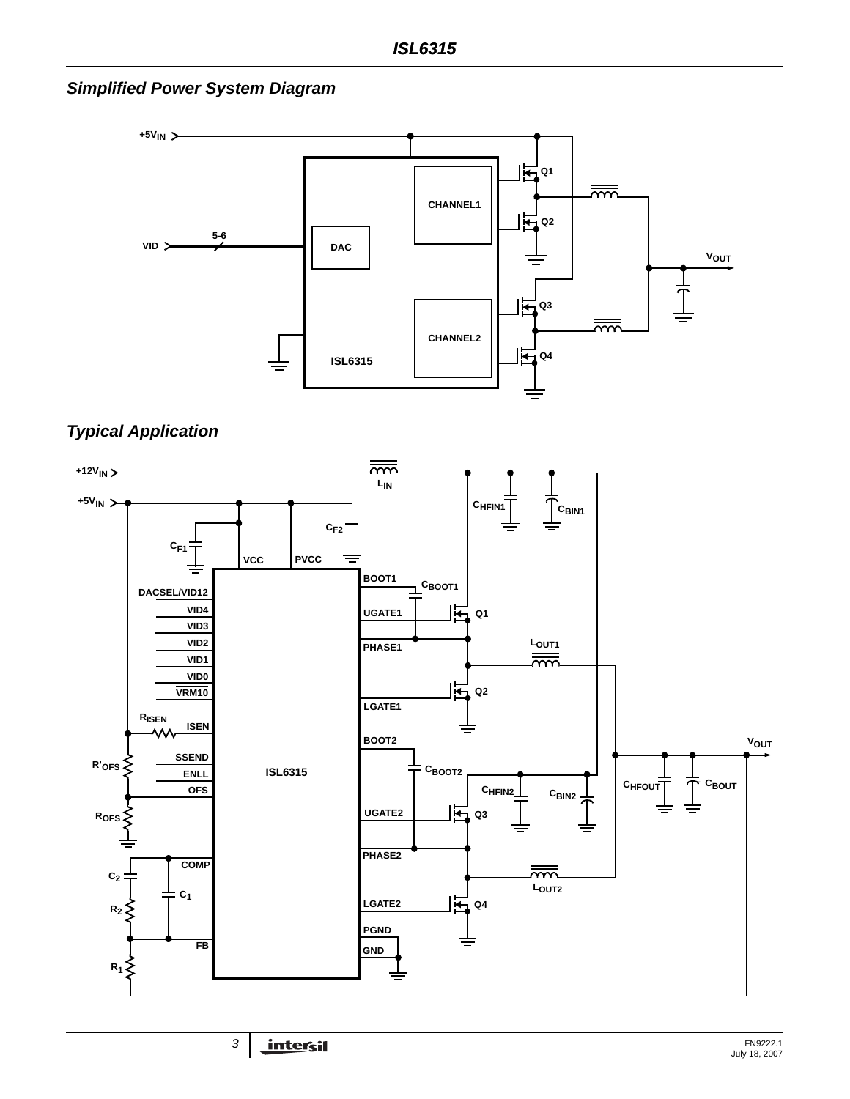*Simplified Power System Diagram*





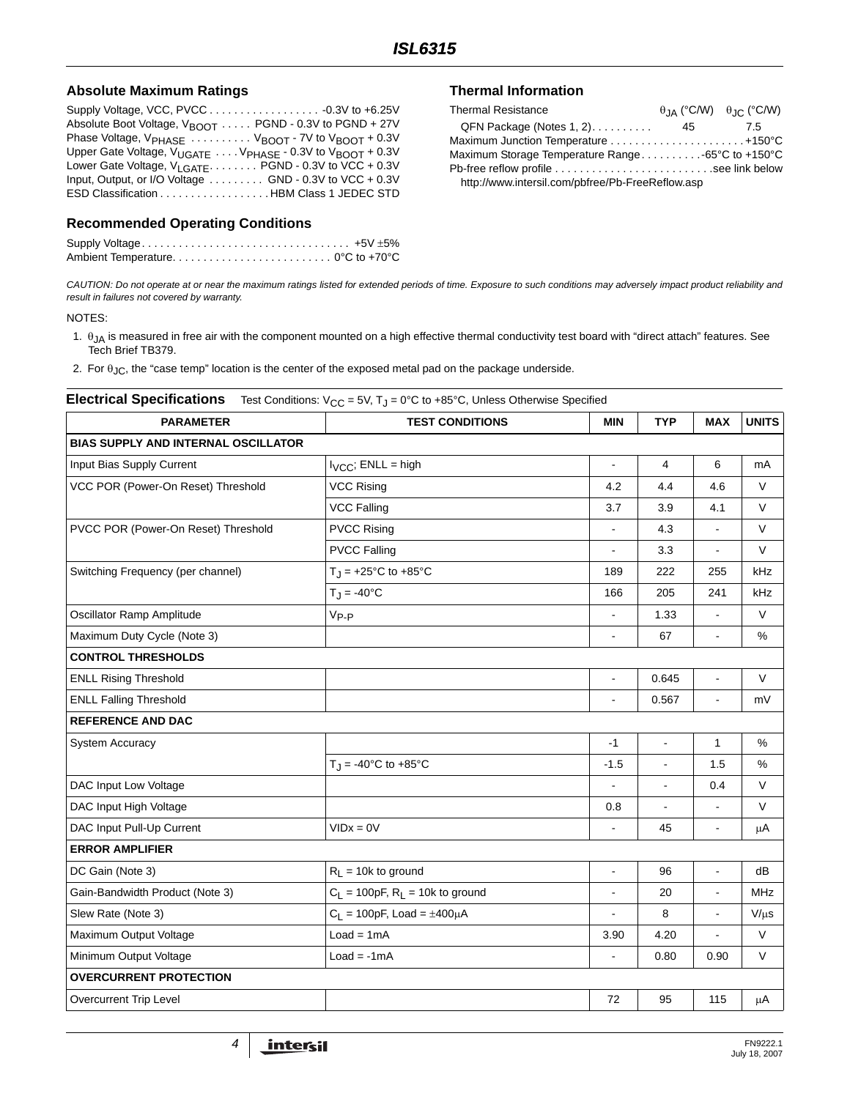### **Absolute Maximum Ratings**

| Absolute Boot Voltage, $V_{\text{BNOT}}$ PGND - 0.3V to PGND + 27V                   |
|--------------------------------------------------------------------------------------|
| Phase Voltage, $V_{\text{PHASE}}$ $V_{\text{BNOT}}$ - 7V to $V_{\text{BNOT}}$ + 0.3V |
| Upper Gate Voltage, $V_{LIGATE}$ $V_{PHASE}$ - 0.3V to $V_{BNOT}$ + 0.3V             |
| Lower Gate Voltage, $V_{LGATE}$ PGND - 0.3V to VCC + 0.3V                            |
| Input, Output, or I/O Voltage $\ldots \ldots$ GND - 0.3V to VCC + 0.3V               |
| ESD Classification HBM Class 1 JEDEC STD                                             |

## **Recommended Operating Conditions**

### **Thermal Information**

| <b>Thermal Resistance</b>                        |    | $\theta$ IA (°C/W) $\theta$ IC (°C/W) |
|--------------------------------------------------|----|---------------------------------------|
| $QFN$ Package (Notes 1, 2)                       | 45 | 7.5                                   |
|                                                  |    |                                       |
| Maximum Storage Temperature Range-65°C to +150°C |    |                                       |
|                                                  |    |                                       |
| http://www.intersil.com/pbfree/Pb-FreeReflow.asp |    |                                       |

*CAUTION: Do not operate at or near the maximum ratings listed for extended periods of time. Exposure to such conditions may adversely impact product reliability and result in failures not covered by warranty.*

#### NOTES:

- <span id="page-3-0"></span>1.  $θ_{JA}$  is measured in free air with the component mounted on a high effective thermal conductivity test board with "direct attach" features. See Tech Brief TB379.
- <span id="page-3-1"></span>2. For  $\theta_{\text{JC}}$ , the "case temp" location is the center of the exposed metal pad on the package underside.

### **Electrical Specifications** Test Conditions: V<sub>CC</sub> = 5V, T<sub>J</sub> = 0°C to +85°C, Unless Otherwise Specified

| <b>PARAMETER</b>                           | <b>TEST CONDITIONS</b>                          | <b>MIN</b>               | <b>TYP</b>     | <b>MAX</b>               | <b>UNITS</b> |
|--------------------------------------------|-------------------------------------------------|--------------------------|----------------|--------------------------|--------------|
| <b>BIAS SUPPLY AND INTERNAL OSCILLATOR</b> |                                                 |                          |                |                          |              |
| Input Bias Supply Current                  | $I_{VCC}$ ; ENLL = high                         | $\blacksquare$           | 4              | 6                        | mA           |
| VCC POR (Power-On Reset) Threshold         | <b>VCC Rising</b>                               | 4.2                      | 4.4            | 4.6                      | V            |
|                                            | <b>VCC Falling</b>                              | 3.7                      | 3.9            | 4.1                      | $\vee$       |
| PVCC POR (Power-On Reset) Threshold        | <b>PVCC Rising</b>                              | $\blacksquare$           | 4.3            | $\overline{a}$           | $\mathsf{V}$ |
|                                            | <b>PVCC Falling</b>                             | $\overline{a}$           | 3.3            | $\blacksquare$           | V            |
| Switching Frequency (per channel)          | $T_J = +25$ °C to $+85$ °C                      | 189                      | 222            | 255                      | kHz          |
|                                            | $T_{\rm J} = -40^{\circ}C$                      | 166                      | 205            | 241                      | kHz          |
| Oscillator Ramp Amplitude                  | $V_{P-P}$                                       | $\overline{\phantom{a}}$ | 1.33           | $\overline{\phantom{a}}$ | V            |
| Maximum Duty Cycle (Note 3)                |                                                 | $\blacksquare$           | 67             | $\blacksquare$           | $\%$         |
| <b>CONTROL THRESHOLDS</b>                  |                                                 |                          |                |                          |              |
| <b>ENLL Rising Threshold</b>               |                                                 | ÷,                       | 0.645          | $\blacksquare$           | V            |
| <b>ENLL Falling Threshold</b>              |                                                 |                          | 0.567          | $\blacksquare$           | mV           |
| <b>REFERENCE AND DAC</b>                   |                                                 |                          |                |                          |              |
| <b>System Accuracy</b>                     |                                                 | $-1$                     | $\blacksquare$ | $\mathbf{1}$             | %            |
|                                            | $T_{\text{H}} = -40^{\circ}C$ to $+85^{\circ}C$ | $-1.5$                   | $\overline{a}$ | 1.5                      | $\%$         |
| DAC Input Low Voltage                      |                                                 | $\blacksquare$           | $\overline{a}$ | 0.4                      | $\vee$       |
| DAC Input High Voltage                     |                                                 | 0.8                      | $\blacksquare$ | $\blacksquare$           | V            |
| DAC Input Pull-Up Current                  | $VIDx = 0V$                                     |                          | 45             | $\blacksquare$           | $\mu$ A      |
| <b>ERROR AMPLIFIER</b>                     |                                                 |                          |                |                          |              |
| DC Gain (Note 3)                           | $R_1 = 10k$ to ground                           | $\blacksquare$           | 96             | $\blacksquare$           | dB           |
| Gain-Bandwidth Product (Note 3)            | $C_L$ = 100pF, $R_L$ = 10k to ground            | ÷,                       | 20             |                          | <b>MHz</b>   |
| Slew Rate (Note 3)                         | $C_L = 100pF$ , Load = $\pm 400\mu A$           | $\blacksquare$           | 8              | $\blacksquare$           | $V/\mu s$    |
| Maximum Output Voltage                     | $Load = 1mA$                                    |                          | 4.20           |                          | V            |
| Minimum Output Voltage                     | $Load = -1mA$                                   |                          | 0.80           | 0.90                     | $\vee$       |
| <b>OVERCURRENT PROTECTION</b>              |                                                 |                          |                |                          |              |
| <b>Overcurrent Trip Level</b>              |                                                 | $72\,$                   | 95             | 115                      | μA           |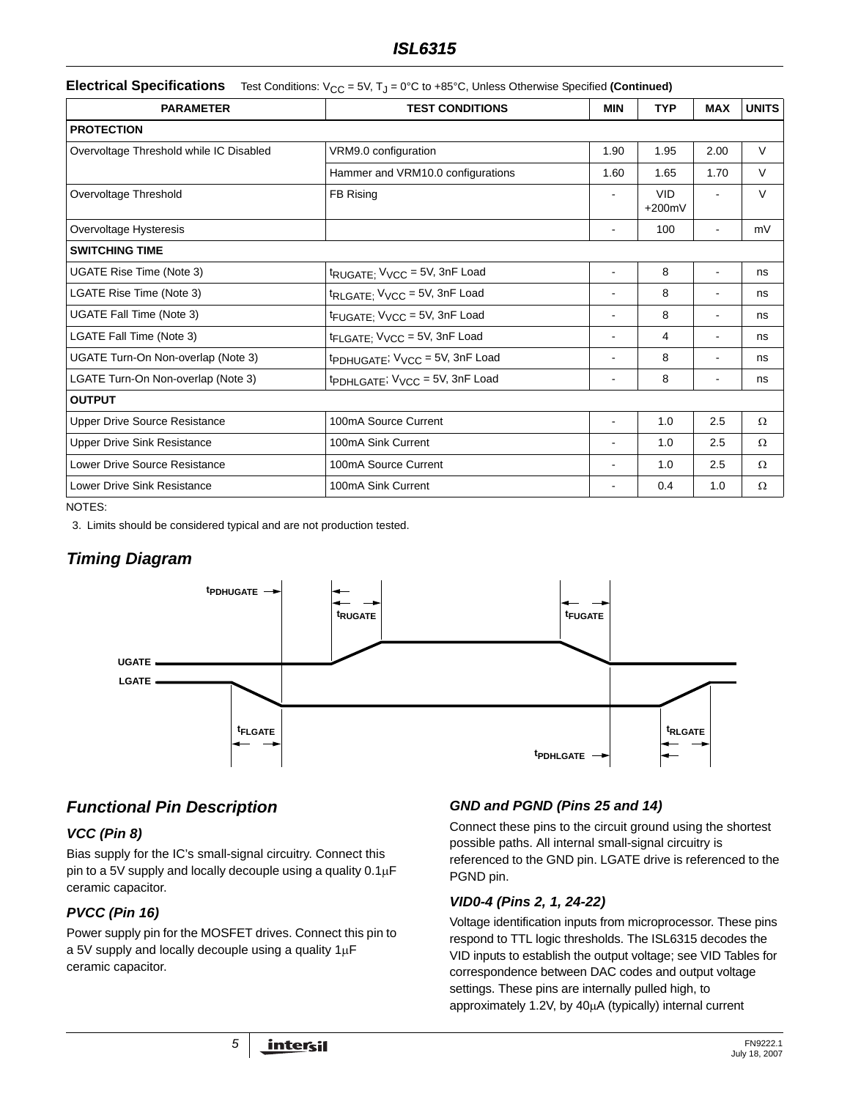## *ISL6315*

**Electrical Specifications** Test Conditions: V<sub>CC</sub> = 5V, T<sub>J</sub> = 0°C to +85°C, Unless Otherwise Specified (Continued)

| <b>PARAMETER</b>                        | <b>TEST CONDITIONS</b>                                | MIN            | <b>TYP</b>             | <b>MAX</b>     | <b>UNITS</b> |
|-----------------------------------------|-------------------------------------------------------|----------------|------------------------|----------------|--------------|
| <b>PROTECTION</b>                       |                                                       |                |                        |                |              |
| Overvoltage Threshold while IC Disabled | VRM9.0 configuration                                  | 1.90           | 1.95                   | 2.00           | V            |
|                                         | Hammer and VRM10.0 configurations                     | 1.60           | 1.65                   | 1.70           | $\vee$       |
| Overvoltage Threshold                   | FB Rising                                             | $\blacksquare$ | <b>VID</b><br>$+200mV$ | $\blacksquare$ | $\vee$       |
| Overvoltage Hysteresis                  |                                                       |                | 100                    |                | mV           |
| <b>SWITCHING TIME</b>                   |                                                       |                |                        |                |              |
| UGATE Rise Time (Note 3)                | $t_{\text{RUGATE}}$ , $V_{\text{VCC}}$ = 5V, 3nF Load |                | 8                      |                | ns           |
| LGATE Rise Time (Note 3)                | t <sub>RLGATE;</sub> V <sub>VCC</sub> = 5V, 3nF Load  |                | 8                      |                | ns           |
| UGATE Fall Time (Note 3)                | t <sub>FUGATE;</sub> V <sub>VCC</sub> = 5V, 3nF Load  |                | 8                      |                | ns           |
| LGATE Fall Time (Note 3)                | tFLGATE; V <sub>VCC</sub> = 5V, 3nF Load              |                | 4                      |                | ns           |
| UGATE Turn-On Non-overlap (Note 3)      | tpDHUGATE; V <sub>VCC</sub> = 5V, 3nF Load            |                | 8                      |                | ns           |
| LGATE Turn-On Non-overlap (Note 3)      | tpDHLGATE; V <sub>VCC</sub> = 5V, 3nF Load            |                | 8                      | ۰              | ns           |
| <b>OUTPUT</b>                           |                                                       |                |                        |                |              |
| <b>Upper Drive Source Resistance</b>    | 100mA Source Current                                  |                | 1.0                    | 2.5            | Ω            |
| <b>Upper Drive Sink Resistance</b>      | 100mA Sink Current                                    |                | 1.0                    | 2.5            | Ω            |
| Lower Drive Source Resistance           | 100mA Source Current                                  |                | 1.0                    | 2.5            | Ω            |
| <b>Lower Drive Sink Resistance</b>      | 100mA Sink Current                                    |                | 0.4                    | 1.0            | Ω            |

NOTES:

<span id="page-4-0"></span>3. Limits should be considered typical and are not production tested.

# *Timing Diagram*



# <span id="page-4-1"></span>*Functional Pin Description*

### *VCC (Pin 8)*

Bias supply for the IC's small-signal circuitry. Connect this pin to a 5V supply and locally decouple using a quality 0.1μF ceramic capacitor.

### *PVCC (Pin 16)*

Power supply pin for the MOSFET drives. Connect this pin to a 5V supply and locally decouple using a quality 1μF ceramic capacitor.

### *GND and PGND (Pins 25 and 14)*

Connect these pins to the circuit ground using the shortest possible paths. All internal small-signal circuitry is referenced to the GND pin. LGATE drive is referenced to the PGND pin.

### *VID0-4 (Pins 2, 1, 24-22)*

Voltage identification inputs from microprocessor. These pins respond to TTL logic thresholds. The ISL6315 decodes the VID inputs to establish the output voltage; see VID Tables for correspondence between DAC codes and output voltage settings. These pins are internally pulled high, to approximately 1.2V, by 40μA (typically) internal current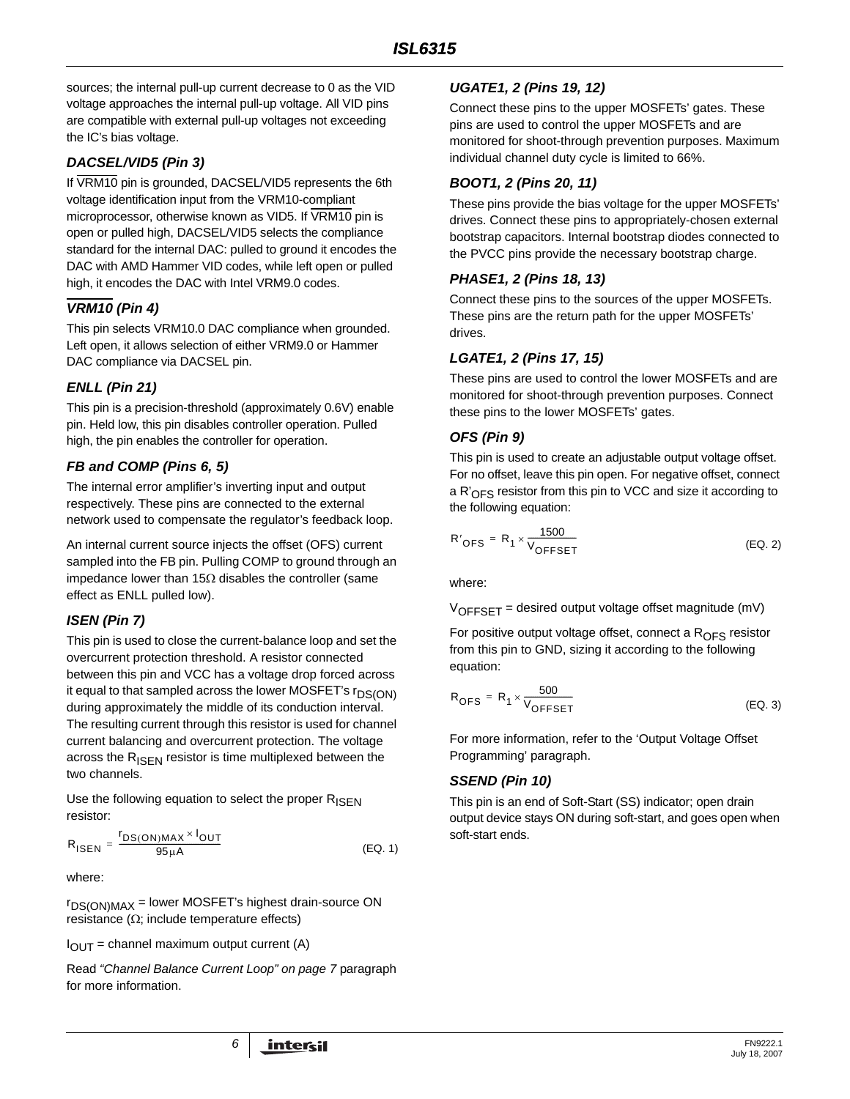sources; the internal pull-up current decrease to 0 as the VID voltage approaches the internal pull-up voltage. All VID pins are compatible with external pull-up voltages not exceeding the IC's bias voltage.

### *DACSEL/VID5 (Pin 3)*

If VRM10 pin is grounded, DACSEL/VID5 represents the 6th voltage identification input from the VRM10-compliant microprocessor, otherwise known as VID5. If VRM10 pin is open or pulled high, DACSEL/VID5 selects the compliance standard for the internal DAC: pulled to ground it encodes the DAC with AMD Hammer VID codes, while left open or pulled high, it encodes the DAC with Intel VRM9.0 codes.

### *VRM10 (Pin 4)*

This pin selects VRM10.0 DAC compliance when grounded. Left open, it allows selection of either VRM9.0 or Hammer DAC compliance via DACSEL pin.

### *ENLL (Pin 21)*

This pin is a precision-threshold (approximately 0.6V) enable pin. Held low, this pin disables controller operation. Pulled high, the pin enables the controller for operation.

### *FB and COMP (Pins 6, 5)*

The internal error amplifier's inverting input and output respectively. These pins are connected to the external network used to compensate the regulator's feedback loop.

An internal current source injects the offset (OFS) current sampled into the FB pin. Pulling COMP to ground through an impedance lower than 15Ω disables the controller (same effect as ENLL pulled low).

### *ISEN (Pin 7)*

This pin is used to close the current-balance loop and set the overcurrent protection threshold. A resistor connected between this pin and VCC has a voltage drop forced across it equal to that sampled across the lower MOSFET's  $r_{DS(ON)}$ during approximately the middle of its conduction interval. The resulting current through this resistor is used for channel current balancing and overcurrent protection. The voltage across the  $R_{\text{ISFN}}$  resistor is time multiplexed between the two channels.

Use the following equation to select the proper  $R_{\text{ISFN}}$ resistor:

$$
R_{\text{ISEN}} = \frac{r_{DS(ON)MAX} \times I_{OUT}}{95 \mu \text{A}} \tag{Eq. 1}
$$

where:

rDS(ON)MAX = lower MOSFET's highest drain-source ON resistance ( $Ω$ ; include temperature effects)

 $I_{\text{OUT}}$  = channel maximum output current (A)

Read *["Channel Balance Current Loop" on page 7](#page-6-0)* paragraph for more information.

### *UGATE1, 2 (Pins 19, 12)*

Connect these pins to the upper MOSFETs' gates. These pins are used to control the upper MOSFETs and are monitored for shoot-through prevention purposes. Maximum individual channel duty cycle is limited to 66%.

### *BOOT1, 2 (Pins 20, 11)*

These pins provide the bias voltage for the upper MOSFETs' drives. Connect these pins to appropriately-chosen external bootstrap capacitors. Internal bootstrap diodes connected to the PVCC pins provide the necessary bootstrap charge.

### *PHASE1, 2 (Pins 18, 13)*

Connect these pins to the sources of the upper MOSFETs. These pins are the return path for the upper MOSFETs' drives.

### *LGATE1, 2 (Pins 17, 15)*

These pins are used to control the lower MOSFETs and are monitored for shoot-through prevention purposes. Connect these pins to the lower MOSFETs' gates.

### *OFS (Pin 9)*

This pin is used to create an adjustable output voltage offset. For no offset, leave this pin open. For negative offset, connect a  $R'_{\text{OFS}}$  resistor from this pin to VCC and size it according to the following equation:

$$
R'_{\text{OFS}} = R_1 \times \frac{1500}{V_{\text{OFFSET}}}
$$
 (EQ. 2)

where:

 $V_{OFFSET}$  = desired output voltage offset magnitude (mV)

For positive output voltage offset, connect a  $R<sub>OFS</sub>$  resistor from this pin to GND, sizing it according to the following equation:

$$
R_{\text{OFS}} = R_1 \times \frac{500}{V_{\text{OFFSET}}}
$$
 (EQ. 3)

For more information, refer to the 'Output Voltage Offset Programming' paragraph.

### *SSEND (Pin 10)*

This pin is an end of Soft-Start (SS) indicator; open drain output device stays ON during soft-start, and goes open when soft-start ends.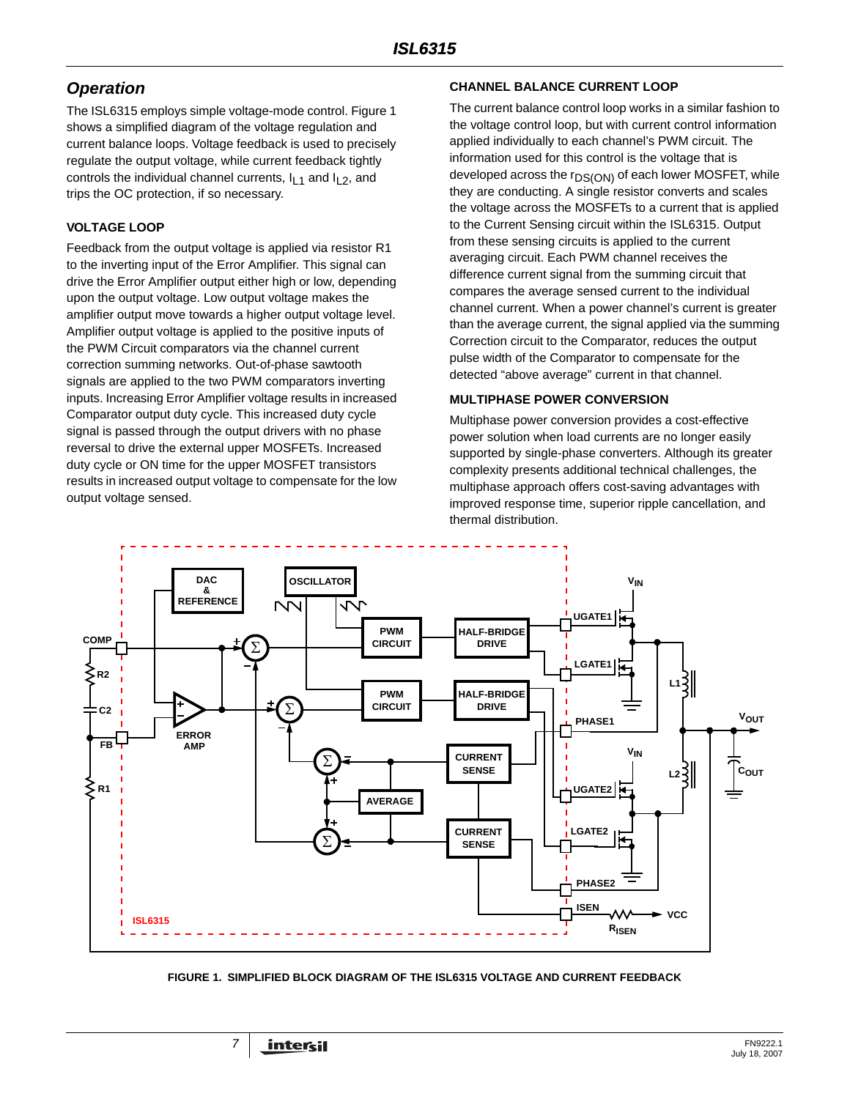# *Operation*

The ISL6315 employs simple voltage-mode control. Figure [1](#page-6-1)  shows a simplified diagram of the voltage regulation and current balance loops. Voltage feedback is used to precisely regulate the output voltage, while current feedback tightly controls the individual channel currents,  $I_{L1}$  and  $I_{L2}$ , and trips the OC protection, if so necessary.

### **VOLTAGE LOOP**

Feedback from the output voltage is applied via resistor R1 to the inverting input of the Error Amplifier. This signal can drive the Error Amplifier output either high or low, depending upon the output voltage. Low output voltage makes the amplifier output move towards a higher output voltage level. Amplifier output voltage is applied to the positive inputs of the PWM Circuit comparators via the channel current correction summing networks. Out-of-phase sawtooth signals are applied to the two PWM comparators inverting inputs. Increasing Error Amplifier voltage results in increased Comparator output duty cycle. This increased duty cycle signal is passed through the output drivers with no phase reversal to drive the external upper MOSFETs. Increased duty cycle or ON time for the upper MOSFET transistors results in increased output voltage to compensate for the low output voltage sensed.

### <span id="page-6-0"></span>**CHANNEL BALANCE CURRENT LOOP**

The current balance control loop works in a similar fashion to the voltage control loop, but with current control information applied individually to each channel's PWM circuit. The information used for this control is the voltage that is developed across the r<sub>DS(ON)</sub> of each lower MOSFET, while they are conducting. A single resistor converts and scales the voltage across the MOSFETs to a current that is applied to the Current Sensing circuit within the ISL6315. Output from these sensing circuits is applied to the current averaging circuit. Each PWM channel receives the difference current signal from the summing circuit that compares the average sensed current to the individual channel current. When a power channel's current is greater than the average current, the signal applied via the summing Correction circuit to the Comparator, reduces the output pulse width of the Comparator to compensate for the detected "above average" current in that channel.

### **MULTIPHASE POWER CONVERSION**

Multiphase power conversion provides a cost-effective power solution when load currents are no longer easily supported by single-phase converters. Although its greater complexity presents additional technical challenges, the multiphase approach offers cost-saving advantages with improved response time, superior ripple cancellation, and thermal distribution.



#### <span id="page-6-1"></span>**FIGURE 1. SIMPLIFIED BLOCK DIAGRAM OF THE ISL6315 VOLTAGE AND CURRENT FEEDBACK**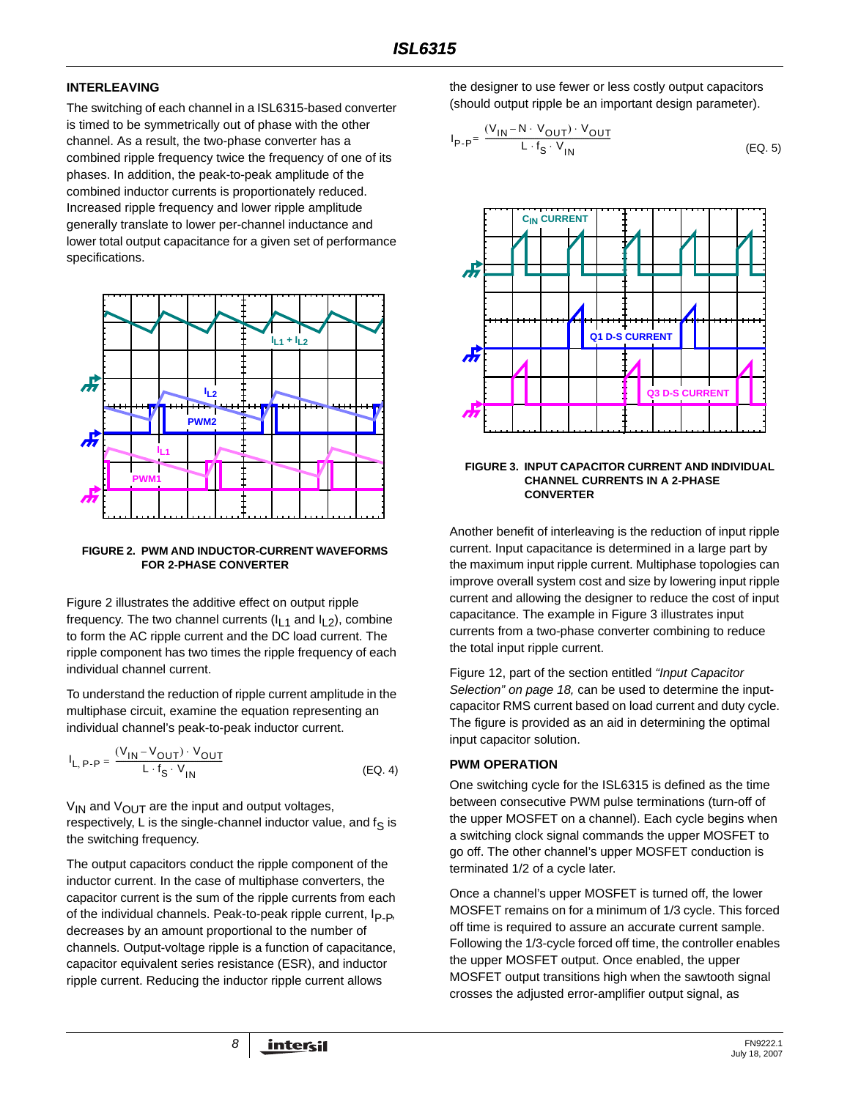### **INTERLEAVING**

The switching of each channel in a ISL6315-based converter is timed to be symmetrically out of phase with the other channel. As a result, the two-phase converter has a combined ripple frequency twice the frequency of one of its phases. In addition, the peak-to-peak amplitude of the combined inductor currents is proportionately reduced. Increased ripple frequency and lower ripple amplitude generally translate to lower per-channel inductance and lower total output capacitance for a given set of performance specifications.



#### **FIGURE 2. PWM AND INDUCTOR-CURRENT WAVEFORMS FOR 2-PHASE CONVERTER**

Figure 2 illustrates the additive effect on output ripple frequency. The two channel currents  $(I<sub>L1</sub>$  and  $I<sub>L2</sub>)$ , combine to form the AC ripple current and the DC load current. The ripple component has two times the ripple frequency of each individual channel current.

To understand the reduction of ripple current amplitude in the multiphase circuit, examine the equation representing an individual channel's peak-to-peak inductor current.

$$
I_{L, P\text{-}P} = \frac{(V_{\text{IN}} - V_{\text{OUT}}) \cdot V_{\text{OUT}}}{L \cdot f_{\text{S}} \cdot V_{\text{IN}}}
$$
 (EQ. 4)

 $V_{IN}$  and  $V_{OUT}$  are the input and output voltages, respectively, L is the single-channel inductor value, and  $f_S$  is the switching frequency.

The output capacitors conduct the ripple component of the inductor current. In the case of multiphase converters, the capacitor current is the sum of the ripple currents from each of the individual channels. Peak-to-peak ripple current,  $I_{P-P}$ , decreases by an amount proportional to the number of channels. Output-voltage ripple is a function of capacitance, capacitor equivalent series resistance (ESR), and inductor ripple current. Reducing the inductor ripple current allows

the designer to use fewer or less costly output capacitors (should output ripple be an important design parameter).

$$
I_{P-P} = \frac{(V_{1N} - N \cdot V_{OUT}) \cdot V_{OUT}}{L \cdot f_S \cdot V_{1N}}
$$
 (EQ. 5)



#### **FIGURE 3. INPUT CAPACITOR CURRENT AND INDIVIDUAL CHANNEL CURRENTS IN A 2-PHASE CONVERTER**

Another benefit of interleaving is the reduction of input ripple current. Input capacitance is determined in a large part by the maximum input ripple current. Multiphase topologies can improve overall system cost and size by lowering input ripple current and allowing the designer to reduce the cost of input capacitance. The example in Figure 3 illustrates input currents from a two-phase converter combining to reduce the total input ripple current.

Figure [12,](#page-18-0) part of the section entitled *["Input Capacitor](#page-17-0)  [Selection" on page 18](#page-17-0),* can be used to determine the inputcapacitor RMS current based on load current and duty cycle. The figure is provided as an aid in determining the optimal input capacitor solution.

#### **PWM OPERATION**

One switching cycle for the ISL6315 is defined as the time between consecutive PWM pulse terminations (turn-off of the upper MOSFET on a channel). Each cycle begins when a switching clock signal commands the upper MOSFET to go off. The other channel's upper MOSFET conduction is terminated 1/2 of a cycle later.

Once a channel's upper MOSFET is turned off, the lower MOSFET remains on for a minimum of 1/3 cycle. This forced off time is required to assure an accurate current sample. Following the 1/3-cycle forced off time, the controller enables the upper MOSFET output. Once enabled, the upper MOSFET output transitions high when the sawtooth signal crosses the adjusted error-amplifier output signal, as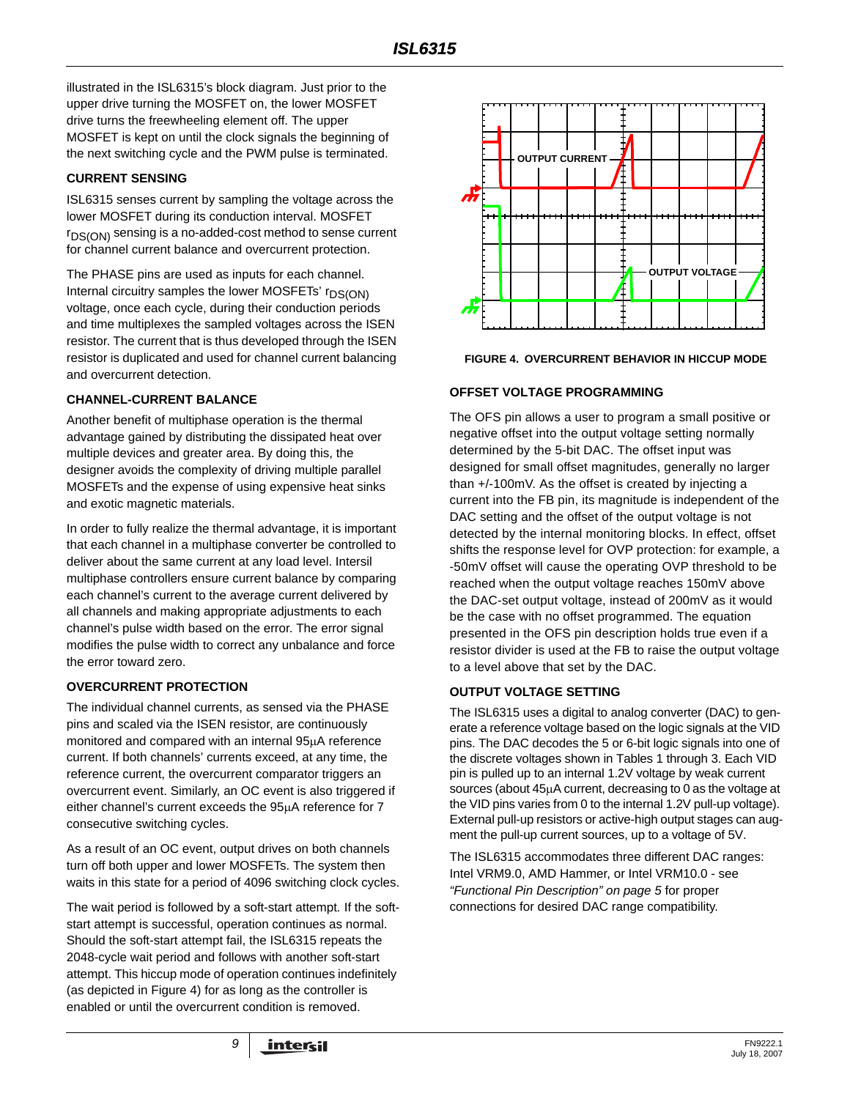illustrated in the ISL6315's block diagram. Just prior to the upper drive turning the MOSFET on, the lower MOSFET drive turns the freewheeling element off. The upper MOSFET is kept on until the clock signals the beginning of the next switching cycle and the PWM pulse is terminated.

### **CURRENT SENSING**

ISL6315 senses current by sampling the voltage across the lower MOSFET during its conduction interval. MOSFET  $r_{DS(ON)}$  sensing is a no-added-cost method to sense current for channel current balance and overcurrent protection.

The PHASE pins are used as inputs for each channel. Internal circuitry samples the lower MOSFETs' r<sub>DS(ON)</sub> voltage, once each cycle, during their conduction periods and time multiplexes the sampled voltages across the ISEN resistor. The current that is thus developed through the ISEN resistor is duplicated and used for channel current balancing and overcurrent detection.

### **CHANNEL-CURRENT BALANCE**

Another benefit of multiphase operation is the thermal advantage gained by distributing the dissipated heat over multiple devices and greater area. By doing this, the designer avoids the complexity of driving multiple parallel MOSFETs and the expense of using expensive heat sinks and exotic magnetic materials.

In order to fully realize the thermal advantage, it is important that each channel in a multiphase converter be controlled to deliver about the same current at any load level. Intersil multiphase controllers ensure current balance by comparing each channel's current to the average current delivered by all channels and making appropriate adjustments to each channel's pulse width based on the error. The error signal modifies the pulse width to correct any unbalance and force the error toward zero.

### **OVERCURRENT PROTECTION**

The individual channel currents, as sensed via the PHASE pins and scaled via the ISEN resistor, are continuously monitored and compared with an internal 95μA reference current. If both channels' currents exceed, at any time, the reference current, the overcurrent comparator triggers an overcurrent event. Similarly, an OC event is also triggered if either channel's current exceeds the 95μA reference for 7 consecutive switching cycles.

As a result of an OC event, output drives on both channels turn off both upper and lower MOSFETs. The system then waits in this state for a period of 4096 switching clock cycles.

The wait period is followed by a soft-start attempt*.* If the softstart attempt is successful, operation continues as normal. Should the soft-start attempt fail, the ISL6315 repeats the 2048-cycle wait period and follows with another soft-start attempt. This hiccup mode of operation continues indefinitely (as depicted in Figure 4) for as long as the controller is enabled or until the overcurrent condition is removed.



**FIGURE 4. OVERCURRENT BEHAVIOR IN HICCUP MODE**

### **OFFSET VOLTAGE PROGRAMMING**

The OFS pin allows a user to program a small positive or negative offset into the output voltage setting normally determined by the 5-bit DAC. The offset input was designed for small offset magnitudes, generally no larger than +/-100mV. As the offset is created by injecting a current into the FB pin, its magnitude is independent of the DAC setting and the offset of the output voltage is not detected by the internal monitoring blocks. In effect, offset shifts the response level for OVP protection: for example, a -50mV offset will cause the operating OVP threshold to be reached when the output voltage reaches 150mV above the DAC-set output voltage, instead of 200mV as it would be the case with no offset programmed. The equation presented in the OFS pin description holds true even if a resistor divider is used at the FB to raise the output voltage to a level above that set by the DAC.

### **OUTPUT VOLTAGE SETTING**

The ISL6315 uses a digital to analog converter (DAC) to generate a reference voltage based on the logic signals at the VID pins. The DAC decodes the 5 or 6-bit logic signals into one of the discrete voltages shown in Tables [1](#page-9-0) through [3](#page-10-0). Each VID pin is pulled up to an internal 1.2V voltage by weak current sources (about 45μA current, decreasing to 0 as the voltage at the VID pins varies from 0 to the internal 1.2V pull-up voltage). External pull-up resistors or active-high output stages can augment the pull-up current sources, up to a voltage of 5V.

. The ISL6315 accommodates three different DAC ranges: Intel VRM9.0, AMD Hammer, or Intel VRM10.0 - see *["Functional Pin Description" on page 5](#page-4-1)* for proper connections for desired DAC range compatibility.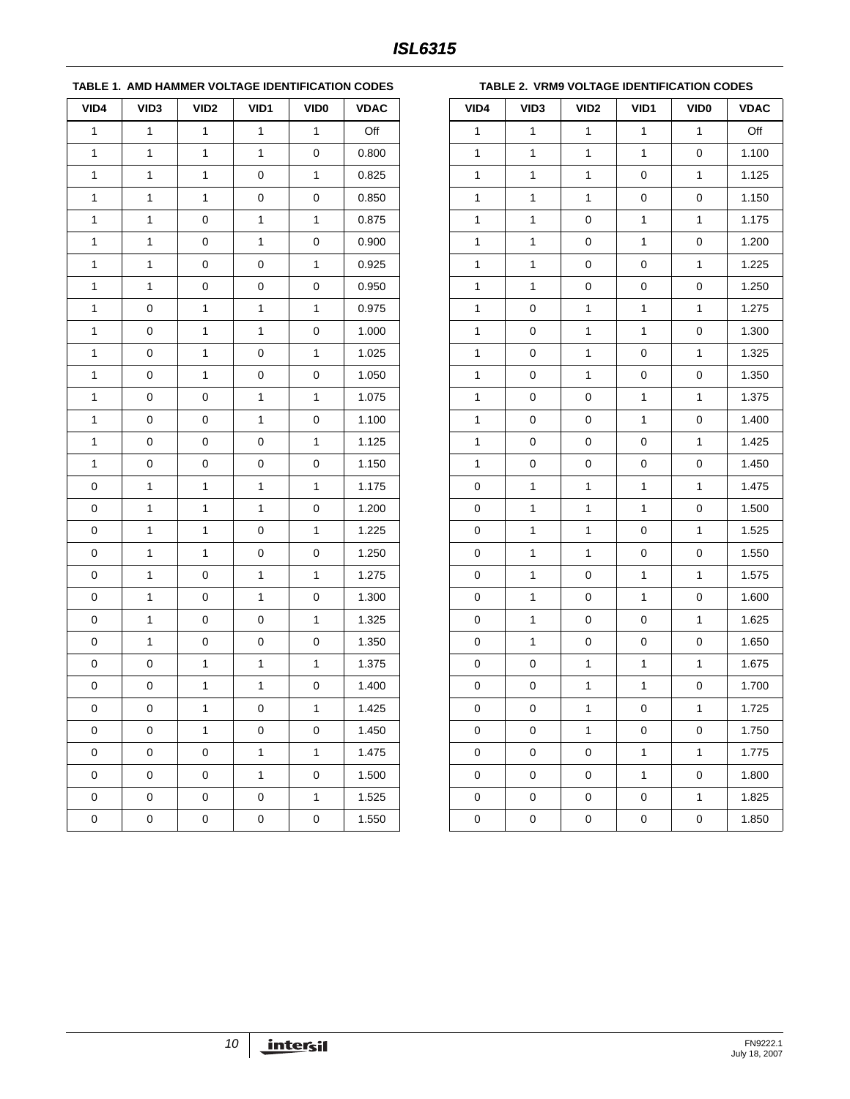### <span id="page-9-0"></span>**TABLE 1. AMD HAMMER VOLTAGE IDENTIFICATION CODES**

| VID4         | VID <sub>3</sub> | VID <sub>2</sub> | VID1         | VID <sub>0</sub> | <b>VDAC</b> |
|--------------|------------------|------------------|--------------|------------------|-------------|
| 1            | 1                | 1                | 1            | 1                | Off         |
| $\mathbf{1}$ | $\mathbf{1}$     | 1                | $\mathbf{1}$ | $\mathbf 0$      | 0.800       |
| 1            | 1                | 1                | 0            | 1                | 0.825       |
| 1            | 1                | 1                | 0            | 0                | 0.850       |
| 1            | $\mathbf{1}$     | 0                | $\mathbf{1}$ | 1                | 0.875       |
| 1            | 1                | 0                | 1            | 0                | 0.900       |
| 1            | 1                | 0                | 0            | 1                | 0.925       |
| 1            | $\mathbf{1}$     | 0                | 0            | 0                | 0.950       |
| 1            | $\mathbf 0$      | 1                | 1            | 1                | 0.975       |
| 1            | 0                | 1                | 1            | 0                | 1.000       |
| 1            | 0                | 1                | 0            | 1                | 1.025       |
| 1            | 0                | 1                | 0            | 0                | 1.050       |
| 1            | 0                | 0                | 1            | 1                | 1.075       |
| 1            | 0                | 0                | $\mathbf{1}$ | 0                | 1.100       |
| 1            | $\mathbf 0$      | 0                | 0            | 1                | 1.125       |
| 1            | 0                | 0                | 0            | 0                | 1.150       |
| 0            | 1                | 1                | 1            | 1                | 1.175       |
| 0            | 1                | 1                | 1            | 0                | 1.200       |
| 0            | 1                | 1                | 0            | $\mathbf{1}$     | 1.225       |
| 0            | 1                | 1                | 0            | 0                | 1.250       |
| 0            | 1                | 0                | 1            | 1                | 1.275       |
| 0            | 1                | 0                | 1            | 0                | 1.300       |
| 0            | 1                | 0                | 0            | 1                | 1.325       |
| 0            | 1                | 0                | 0            | 0                | 1.350       |
| 0            | 0                | 1                | 1            | 1                | 1.375       |
| 0            | 0                | 1                | $\mathbf{1}$ | 0                | 1.400       |
| 0            | 0                | 1                | 0            | $\mathbf{1}$     | 1.425       |
| 0            | $\pmb{0}$        | 1                | 0            | 0                | 1.450       |
| 0            | 0                | 0                | $\mathbf 1$  | 1                | 1.475       |
| 0            | 0                | 0                | $\mathbf{1}$ | 0                | 1.500       |
| 0            | 0                | 0                | 0            | 1                | 1.525       |
| 0            | $\mathsf 0$      | 0                | 0            | 0                | 1.550       |

#### **TABLE 2. VRM9 VOLTAGE IDENTIFICATION CODES**

| VID4         | VID3 | VID <sub>2</sub> | VID1         | VID <sub>0</sub> | <b>VDAC</b> |  |
|--------------|------|------------------|--------------|------------------|-------------|--|
| 1            | 1    | 1                | 1            | 1                | Off         |  |
| 1            | 1    | $\mathbf 1$      | 1            | 0                | 1.100       |  |
| $\mathbf 1$  | 1    | $\mathbf 1$      | 0            | 1                | 1.125       |  |
| 1            | 1    | 1                | 0            | 0                | 1.150       |  |
| 1            | 1    | 0                | $\mathbf{1}$ | 1                | 1.175       |  |
| $\mathbf 1$  | 1    | 0                | 1            | 0                | 1.200       |  |
| 1            | 1    | 0                | 0            | 1                | 1.225       |  |
| 1            | 1    | 0                | $\pmb{0}$    | 0                | 1.250       |  |
| 1            | 0    | $\mathbf 1$      | 1            | 1                | 1.275       |  |
| 1            | 0    | 1                | $\mathbf{1}$ | 0                | 1.300       |  |
| 1            | 0    | 1                | 0            | 1                | 1.325       |  |
| 1            | 0    | $\mathbf 1$      | 0            | 0                | 1.350       |  |
| 1            | 0    | 0                | 1            | 1                | 1.375       |  |
| 1            | 0    | 0                | $\mathbf{1}$ | 0                | 1.400       |  |
| $\mathbf 1$  | 0    | 0                | 0            | 1                | 1.425       |  |
| $\mathbf{1}$ | 0    | 0                | 0            | 0                | 1.450       |  |
| 0            | 1    | $\mathbf{1}$     | $\mathbf{1}$ | 1                | 1.475       |  |
| $\mathbf 0$  | 1    | 1                | 1            | 0                | 1.500       |  |
| 0            | 1    | 1                | 0            | 1                | 1.525       |  |
| 0            | 1    | 1                | 0            | 0                | 1.550       |  |
| $\mathbf 0$  | 1    | 0                | 1            | 1                | 1.575       |  |
| 0            | 1    | 0                | $\mathbf{1}$ | 0                | 1.600       |  |
| 0            | 1    | 0                | 0            | 1                | 1.625       |  |
| $\mathbf 0$  | 1    | 0                | 0            | 0                | 1.650       |  |
| 0            | 0    | 1                | $\mathbf{1}$ | 1                | 1.675       |  |
| 0            | 0    | 1                | 1            | 0                | 1.700       |  |
| 0            | 0    | $\mathbf 1$      | 0            | 1                | 1.725       |  |
| 0            | 0    | 1                | 0            | 0                | 1.750       |  |
| 0            | 0    | 0                | 1            | 1                | 1.775       |  |
| $\mathbf 0$  | 0    | 0                | 1            | $\pmb{0}$        | 1.800       |  |
| 0            | 0    | 0                | 0            | 1                | 1.825       |  |
| 0            | 0    | 0                | 0            | 0                | 1.850       |  |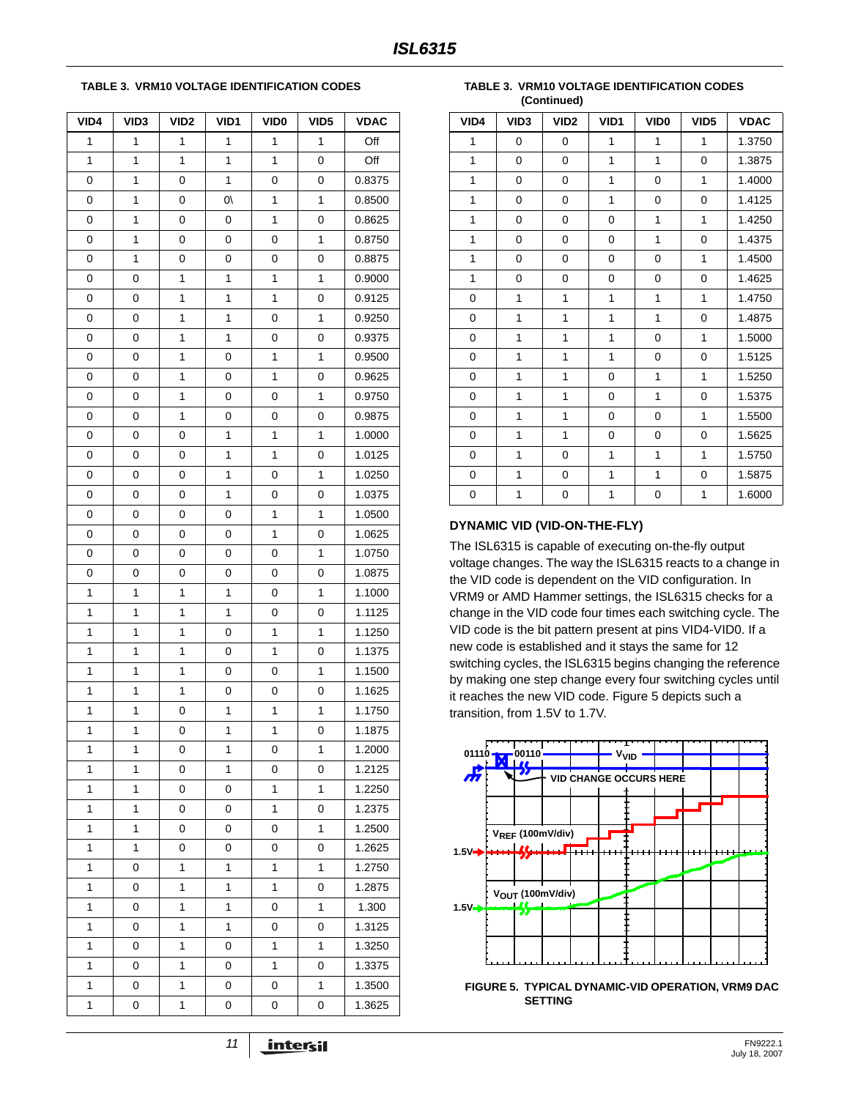#### <span id="page-10-0"></span>**TABLE 3. VRM10 VOLTAGE IDENTIFICATION CODES**

| VID4         | VID3         | VID <sub>2</sub> | VID1         | VID <sub>0</sub> | VID <sub>5</sub> | <b>VDAC</b> |
|--------------|--------------|------------------|--------------|------------------|------------------|-------------|
| 1            | 1            | 1                | $\mathbf{1}$ | $\mathbf{1}$     | 1                | Off         |
| 1            | 1            | 1                | 1            | 1                | 0                | Off         |
| 0            | 1            | 0                | 1            | $\mathbf 0$      | 0                | 0.8375      |
| 0            | $\mathbf{1}$ | 0                | $\sqrt{0}$   | 1                | $\mathbf{1}$     | 0.8500      |
| 0            | $\mathbf{1}$ | 0                | 0            | 1                | 0                | 0.8625      |
| 0            | $\mathbf 1$  | 0                | 0            | 0                | $\mathbf{1}$     | 0.8750      |
| 0            | 1            | 0                | 0            | 0                | 0                | 0.8875      |
| 0            | 0            | 1                | 1            | 1                | $\mathbf{1}$     | 0.9000      |
| $\mathbf 0$  | 0            | 1                | 1            | 1                | 0                | 0.9125      |
| 0            | 0            | 1                | 1            | $\pmb{0}$        | $\mathbf{1}$     | 0.9250      |
| 0            | 0            | 1                | 1            | 0                | 0                | 0.9375      |
| 0            | 0            | 1                | 0            | 1                | $\mathbf{1}$     | 0.9500      |
| 0            | 0            | 1                | 0            | $\mathbf{1}$     | 0                | 0.9625      |
| 0            | 0            | $\mathbf{1}$     | 0            | $\mathbf 0$      | $\mathbf{1}$     | 0.9750      |
| 0            | 0            | $\mathbf{1}$     | 0            | $\pmb{0}$        | 0                | 0.9875      |
| 0            | 0            | 0                | 1            | 1                | 1                | 1.0000      |
| 0            | 0            | 0                | 1            | 1                | 0                | 1.0125      |
| 0            | 0            | 0                | 1            | 0                | $\mathbf{1}$     | 1.0250      |
| 0            | 0            | 0                | 1            | 0                | 0                | 1.0375      |
| 0            | 0            | 0                | 0            | 1                | $\mathbf{1}$     | 1.0500      |
| 0            | 0            | 0                | 0            | 1                | 0                | 1.0625      |
| 0            | 0            | 0                | 0            | 0                | $\mathbf{1}$     | 1.0750      |
| $\mathbf 0$  | 0            | 0                | 0            | 0                | 0                | 1.0875      |
| 1            | 1            | 1                | 1            | 0                | $\mathbf{1}$     | 1.1000      |
| 1            | 1            | 1                | 1            | 0                | 0                | 1.1125      |
| 1            | 1            | $\mathbf{1}$     | 0            | 1                | 1                | 1.1250      |
| $\mathbf{1}$ | $\mathbf{1}$ | 1                | 0            | 1                | 0                | 1.1375      |
| 1            | $\mathbf 1$  | 1                | $\mathbf 0$  | $\mathbf 0$      | $\mathbf{1}$     | 1.1500      |
| $\mathbf{1}$ | 1            | 1                | 0            | 0                | 0                | 1.1625      |
| 1            | 1            | 0                | 1            | 1                | 1                | 1.1750      |
| 1            | 1            | 0                | 1            | 1                | 0                | 1.1875      |
| 1            | 1            | 0                | 1            | 0                | 1                | 1.2000      |
| 1            | 1            | 0                | 1            | 0                | 0                | 1.2125      |
| 1            | $\mathbf{1}$ | 0                | 0            | $\mathbf{1}$     | 1                | 1.2250      |
| 1            | $\mathbf{1}$ | 0                | 0            | 1                | 0                | 1.2375      |
| 1            | 1            | 0                | 0            | 0                | 1                | 1.2500      |
| 1            | $\mathbf{1}$ | 0                | 0            | 0                | 0                | 1.2625      |
| 1            | 0            | 1                | 1            | 1                | $\mathbf{1}$     | 1.2750      |
| 1            | 0            | 1                | 1            | 1                | 0                | 1.2875      |
| 1            | 0            | $\mathbf{1}$     | $\mathbf{1}$ | $\mathbf 0$      | 1                | 1.300       |
| 1            | 0            | 1                | 1            | 0                | 0                | 1.3125      |
| 1            | 0            | 1                | 0            | 1                | 1                | 1.3250      |
| 1            | 0            | 1                | 0            | 1                | 0                | 1.3375      |
| 1            | 0            | 1                | 0            | 0                | 1                | 1.3500      |
| 1            | 0            | 1                | 0            | 0                | 0                | 1.3625      |

**TABLE 3. VRM10 VOLTAGE IDENTIFICATION CODES (Continued)**

| VID4        | VID <sub>3</sub> | VID <sub>2</sub> | VID <sub>1</sub> | VID <sub>0</sub> | VID <sub>5</sub> | <b>VDAC</b> |
|-------------|------------------|------------------|------------------|------------------|------------------|-------------|
| 1           | 0                | $\mathbf 0$      | 1                | $\mathbf{1}$     | 1                | 1.3750      |
| 1           | 0                | $\mathbf 0$      | $\mathbf{1}$     | $\mathbf{1}$     | 0                | 1.3875      |
| 1           | 0                | $\mathbf 0$      | $\mathbf{1}$     | $\mathbf 0$      | $\mathbf{1}$     | 1.4000      |
| 1           | 0                | 0                | 1                | $\mathbf 0$      | 0                | 1.4125      |
| 1           | 0                | 0                | 0                | 1                | 1                | 1.4250      |
| 1           | 0                | $\mathbf 0$      | 0                | 1                | $\Omega$         | 1.4375      |
| 1           | $\mathbf{0}$     | $\mathbf 0$      | $\Omega$         | $\mathbf 0$      | $\mathbf{1}$     | 1.4500      |
| 1           | 0                | $\mathbf 0$      | 0                | $\mathbf 0$      | $\Omega$         | 1.4625      |
| $\mathbf 0$ | 1                | 1                | $\mathbf{1}$     | 1                | $\mathbf{1}$     | 1.4750      |
| $\mathbf 0$ | 1                | 1                | 1                | 1                | 0                | 1.4875      |
| 0           | 1                | 1                | 1                | 0                | 1                | 1.5000      |
| $\mathbf 0$ | 1                | 1                | 1                | 0                | 0                | 1.5125      |
| $\mathbf 0$ | $\overline{1}$   | 1                | 0                | $\mathbf{1}$     | $\mathbf{1}$     | 1.5250      |
| 0           | 1                | 1                | 0                | 1                | 0                | 1.5375      |
| $\mathbf 0$ | 1                | 1                | 0                | $\mathbf 0$      | 1                | 1.5500      |
| $\mathbf 0$ | $\mathbf{1}$     | 1                | 0                | $\mathbf 0$      | 0                | 1.5625      |
| $\mathbf 0$ | 1                | $\mathbf 0$      | 1                | $\mathbf{1}$     | $\mathbf{1}$     | 1.5750      |
| 0           | 1                | 0                | 1                | 1                | $\Omega$         | 1.5875      |
| 0           | $\mathbf{1}$     | $\pmb{0}$        | $\mathbf{1}$     | $\mathbf 0$      | $\mathbf{1}$     | 1.6000      |

### **DYNAMIC VID (VID-ON-THE-FLY)**

The ISL6315 is capable of executing on-the-fly output voltage changes. The way the ISL6315 reacts to a change in the VID code is dependent on the VID configuration. In VRM9 or AMD Hammer settings, the ISL6315 checks for a change in the VID code four times each switching cycle. The VID code is the bit pattern present at pins VID4-VID0. If a new code is established and it stays the same for 12 switching cycles, the ISL6315 begins changing the reference by making one step change every four switching cycles until it reaches the new VID code. Figure 5 depicts such a transition, from 1.5V to 1.7V.

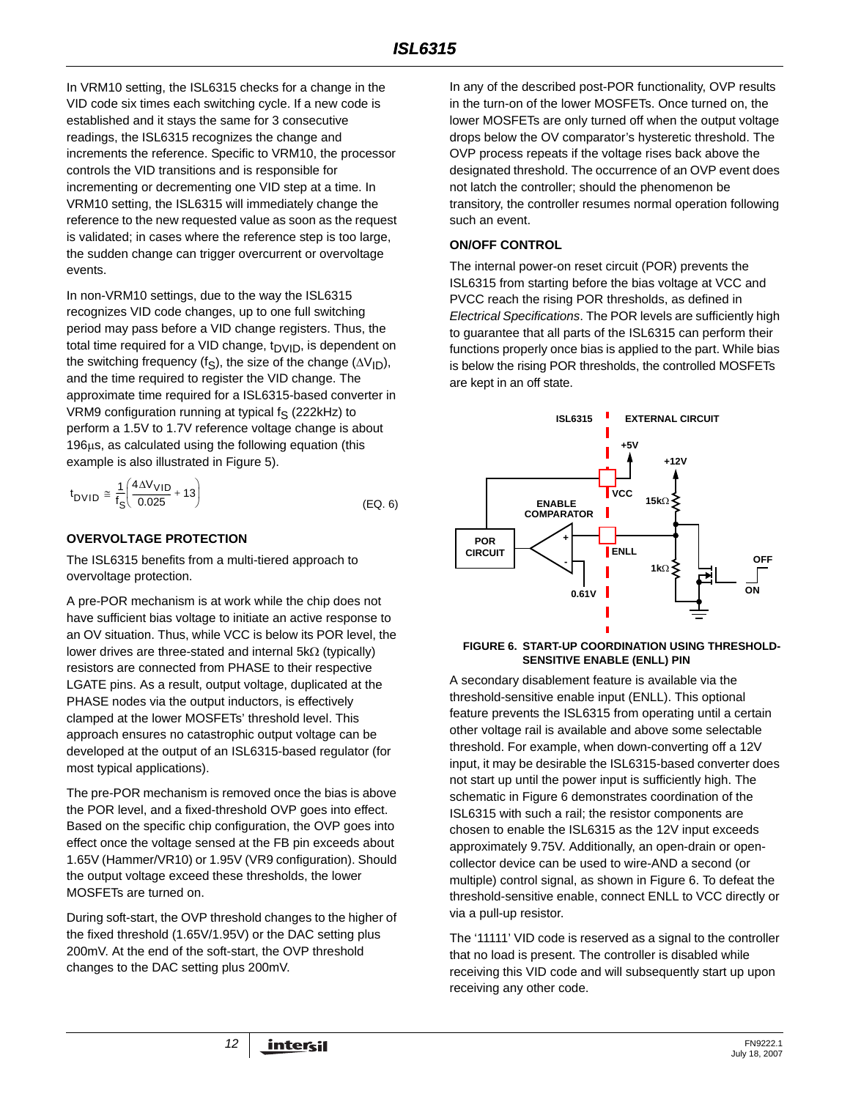In VRM10 setting, the ISL6315 checks for a change in the VID code six times each switching cycle. If a new code is established and it stays the same for 3 consecutive readings, the ISL6315 recognizes the change and increments the reference. Specific to VRM10, the processor controls the VID transitions and is responsible for incrementing or decrementing one VID step at a time. In VRM10 setting, the ISL6315 will immediately change the reference to the new requested value as soon as the request is validated; in cases where the reference step is too large, the sudden change can trigger overcurrent or overvoltage events.

In non-VRM10 settings, due to the way the ISL6315 recognizes VID code changes, up to one full switching period may pass before a VID change registers. Thus, the total time required for a VID change,  $t<sub>DVID</sub>$ , is dependent on the switching frequency (f<sub>S</sub>), the size of the change (ΔV<sub>ID</sub>), and the time required to register the VID change. The approximate time required for a ISL6315-based converter in VRM9 configuration running at typical  $f_S$  (222kHz) to perform a 1.5V to 1.7V reference voltage change is about 196μs, as calculated using the following equation (this example is also illustrated in Figure 5).

$$
t_{\text{DVID}} \cong \frac{1}{f_S} \left( \frac{4\Delta V_{\text{VID}}}{0.025} + 13 \right) \tag{Eq. 6}
$$

### **OVERVOLTAGE PROTECTION**

The ISL6315 benefits from a multi-tiered approach to overvoltage protection.

A pre-POR mechanism is at work while the chip does not have sufficient bias voltage to initiate an active response to an OV situation. Thus, while VCC is below its POR level, the lower drives are three-stated and internal 5kΩ (typically) resistors are connected from PHASE to their respective LGATE pins. As a result, output voltage, duplicated at the PHASE nodes via the output inductors, is effectively clamped at the lower MOSFETs' threshold level. This approach ensures no catastrophic output voltage can be developed at the output of an ISL6315-based regulator (for most typical applications).

The pre-POR mechanism is removed once the bias is above the POR level, and a fixed-threshold OVP goes into effect. Based on the specific chip configuration, the OVP goes into effect once the voltage sensed at the FB pin exceeds about 1.65V (Hammer/VR10) or 1.95V (VR9 configuration). Should the output voltage exceed these thresholds, the lower MOSFETs are turned on.

During soft-start, the OVP threshold changes to the higher of the fixed threshold (1.65V/1.95V) or the DAC setting plus 200mV. At the end of the soft-start, the OVP threshold changes to the DAC setting plus 200mV.

In any of the described post-POR functionality, OVP results in the turn-on of the lower MOSFETs. Once turned on, the lower MOSFETs are only turned off when the output voltage drops below the OV comparator's hysteretic threshold. The OVP process repeats if the voltage rises back above the designated threshold. The occurrence of an OVP event does not latch the controller; should the phenomenon be transitory, the controller resumes normal operation following such an event.

### **ON/OFF CONTROL**

The internal power-on reset circuit (POR) prevents the ISL6315 from starting before the bias voltage at VCC and PVCC reach the rising POR thresholds, as defined in *Electrical Specifications*. The POR levels are sufficiently high to guarantee that all parts of the ISL6315 can perform their functions properly once bias is applied to the part. While bias is below the rising POR thresholds, the controlled MOSFETs are kept in an off state.



#### **FIGURE 6. START-UP COORDINATION USING THRESHOLD-SENSITIVE ENABLE (ENLL) PIN**

A secondary disablement feature is available via the threshold-sensitive enable input (ENLL). This optional feature prevents the ISL6315 from operating until a certain other voltage rail is available and above some selectable threshold. For example, when down-converting off a 12V input, it may be desirable the ISL6315-based converter does not start up until the power input is sufficiently high. The schematic in Figure 6 demonstrates coordination of the ISL6315 with such a rail; the resistor components are chosen to enable the ISL6315 as the 12V input exceeds approximately 9.75V. Additionally, an open-drain or opencollector device can be used to wire-AND a second (or multiple) control signal, as shown in Figure 6. To defeat the threshold-sensitive enable, connect ENLL to VCC directly or via a pull-up resistor.

The '11111' VID code is reserved as a signal to the controller that no load is present. The controller is disabled while receiving this VID code and will subsequently start up upon receiving any other code.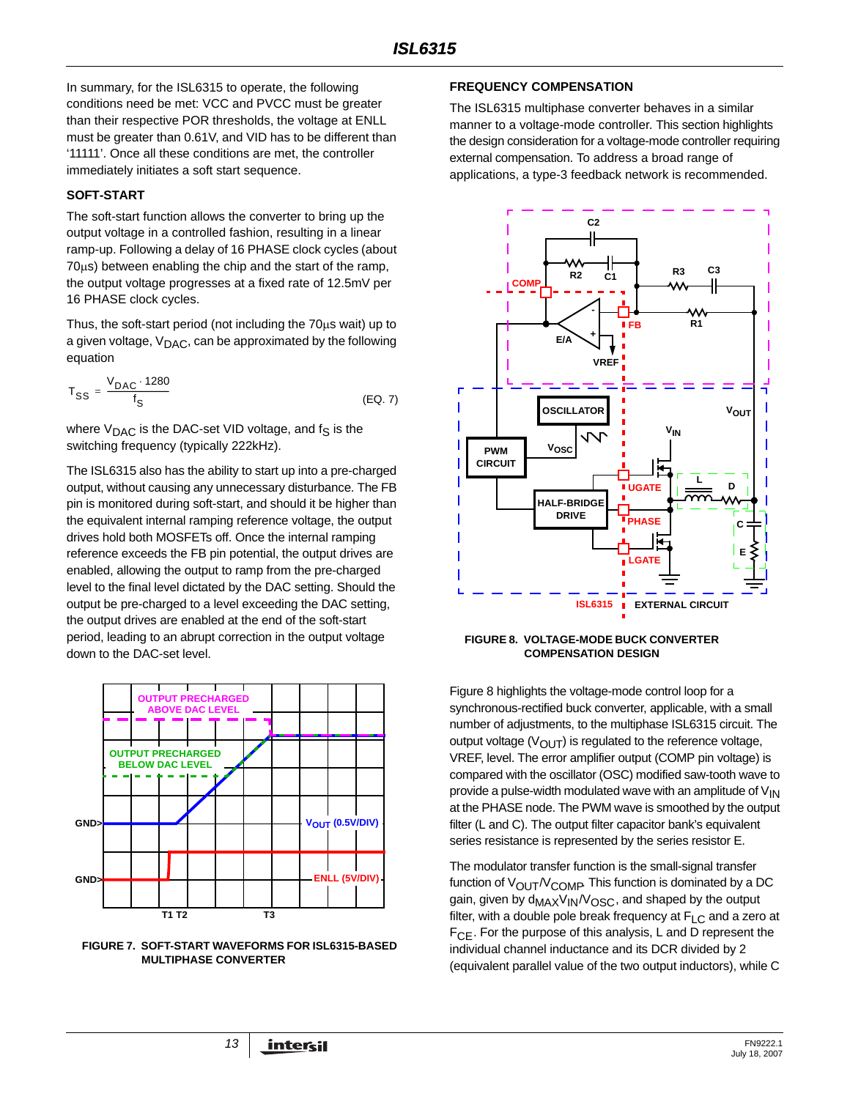In summary, for the ISL6315 to operate, the following conditions need be met: VCC and PVCC must be greater than their respective POR thresholds, the voltage at ENLL must be greater than 0.61V, and VID has to be different than '11111'. Once all these conditions are met, the controller immediately initiates a soft start sequence.

#### **SOFT-START**

The soft-start function allows the converter to bring up the output voltage in a controlled fashion, resulting in a linear ramp-up. Following a delay of 16 PHASE clock cycles (about 70μs) between enabling the chip and the start of the ramp, the output voltage progresses at a fixed rate of 12.5mV per 16 PHASE clock cycles.

Thus, the soft-start period (not including the 70μs wait) up to a given voltage,  $V_{\text{DAC}}$ , can be approximated by the following equation

$$
T_{SS} = \frac{V_{DAC} \cdot 1280}{f_S} \tag{Eq. 7}
$$

where  $V_{\text{DAC}}$  is the DAC-set VID voltage, and  $f_S$  is the switching frequency (typically 222kHz).

The ISL6315 also has the ability to start up into a pre-charged output, without causing any unnecessary disturbance. The FB pin is monitored during soft-start, and should it be higher than the equivalent internal ramping reference voltage, the output drives hold both MOSFETs off. Once the internal ramping reference exceeds the FB pin potential, the output drives are enabled, allowing the output to ramp from the pre-charged level to the final level dictated by the DAC setting. Should the output be pre-charged to a level exceeding the DAC setting, the output drives are enabled at the end of the soft-start period, leading to an abrupt correction in the output voltage down to the DAC-set level.



**FIGURE 7. SOFT-START WAVEFORMS FOR ISL6315-BASED MULTIPHASE CONVERTER**

#### **FREQUENCY COMPENSATION**

The ISL6315 multiphase converter behaves in a similar manner to a voltage-mode controller. This section highlights the design consideration for a voltage-mode controller requiring external compensation. To address a broad range of applications, a type-3 feedback network is recommended.



#### <span id="page-12-0"></span>**FIGURE 8. VOLTAGE-MODE BUCK CONVERTER COMPENSATION DESIGN**

Figure [8](#page-12-0) highlights the voltage-mode control loop for a synchronous-rectified buck converter, applicable, with a small number of adjustments, to the multiphase ISL6315 circuit. The output voltage  $(V<sub>OUT</sub>)$  is regulated to the reference voltage, VREF, level. The error amplifier output (COMP pin voltage) is compared with the oscillator (OSC) modified saw-tooth wave to provide a pulse-width modulated wave with an amplitude of  $V_{\text{IN}}$ at the PHASE node. The PWM wave is smoothed by the output filter (L and C). The output filter capacitor bank's equivalent series resistance is represented by the series resistor E.

The modulator transfer function is the small-signal transfer function of  $V_{\text{OUT}}/V_{\text{COMP}}$  This function is dominated by a DC gain, given by d<sub>MAX</sub>V<sub>IN</sub>/V<sub>OSC</sub>, and shaped by the output filter, with a double pole break frequency at  $F_{LC}$  and a zero at  $F_{\text{CF}}$ . For the purpose of this analysis, L and D represent the individual channel inductance and its DCR divided by 2 (equivalent parallel value of the two output inductors), while C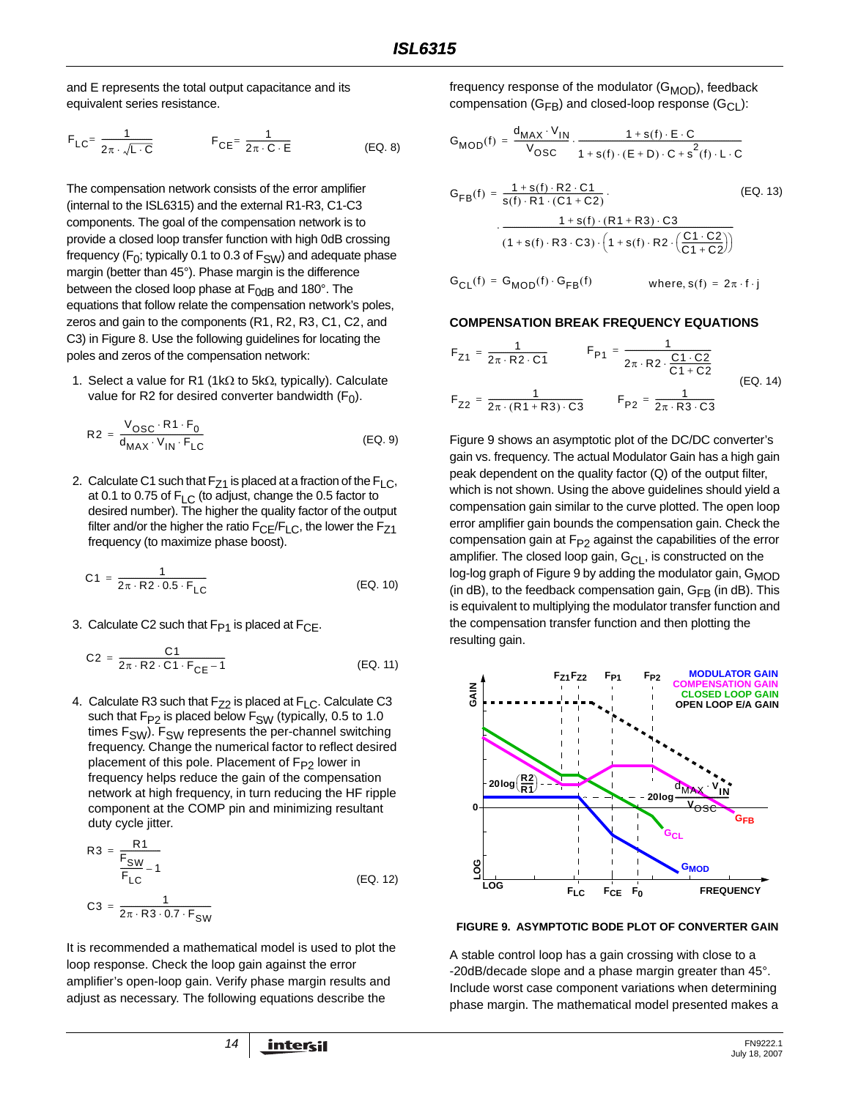and E represents the total output capacitance and its equivalent series resistance.

$$
F_{LC} = \frac{1}{2\pi \cdot \sqrt{L \cdot C}} \qquad F_{CE} = \frac{1}{2\pi \cdot C \cdot E} \qquad (EQ. 8)
$$

The compensation network consists of the error amplifier (internal to the ISL6315) and the external R1-R3, C1-C3 components. The goal of the compensation network is to provide a closed loop transfer function with high 0dB crossing frequency ( $F_0$ ; typically 0.1 to 0.3 of  $F_{SW}$ ) and adequate phase margin (better than 45°). Phase margin is the difference between the closed loop phase at  $F_{0dB}$  and 180°. The equations that follow relate the compensation network's poles, zeros and gain to the components (R1, R2, R3, C1, C2, and C3) in Figure [8.](#page-12-0) Use the following guidelines for locating the poles and zeros of the compensation network:

1. Select a value for R1 (1kΩ to 5kΩ, typically). Calculate value for R2 for desired converter bandwidth  $(F_0)$ .

$$
R2 = \frac{V_{OSC} \cdot R1 \cdot F_0}{d_{MAX} \cdot V_{IN} \cdot F_{LC}}
$$
 (EQ. 9)

2. Calculate C1 such that  $F_{Z1}$  is placed at a fraction of the  $F_{LC}$ , at 0.1 to 0.75 of  $F_{LC}$  (to adjust, change the 0.5 factor to desired number). The higher the quality factor of the output filter and/or the higher the ratio  $F_{CE}/F_{LC}$ , the lower the  $F_{Z1}$ frequency (to maximize phase boost).

$$
C1 = \frac{1}{2\pi \cdot R2 \cdot 0.5 \cdot F_{LC}}
$$
 (EQ. 10)

3. Calculate C2 such that  $F_{P1}$  is placed at  $F_{CE}$ .

$$
C2 = \frac{C1}{2\pi \cdot R2 \cdot C1 \cdot F_{CE} - 1}
$$
 (EQ. 11)

4. Calculate R3 such that  $F_{Z2}$  is placed at  $F_{LC}$ . Calculate C3 such that  $F_{P2}$  is placed below  $F_{SW}$  (typically, 0.5 to 1.0 times  $F_{SW}$ ).  $F_{SW}$  represents the per-channel switching frequency. Change the numerical factor to reflect desired placement of this pole. Placement of  $F_{P2}$  lower in frequency helps reduce the gain of the compensation network at high frequency, in turn reducing the HF ripple component at the COMP pin and minimizing resultant duty cycle jitter.

$$
R3 = \frac{R1}{F_{SW}} - 1
$$
  
\n
$$
C3 = \frac{1}{2\pi \cdot R3 \cdot 0.7 \cdot F_{SW}}
$$
 (EQ. 12)

It is recommended a mathematical model is used to plot the loop response. Check the loop gain against the error amplifier's open-loop gain. Verify phase margin results and adjust as necessary. The following equations describe the

frequency response of the modulator  $(G_{\text{MOD}})$ , feedback compensation ( $G_{FB}$ ) and closed-loop response ( $G_{CL}$ ):

$$
G_{MOD}(f) = \frac{d_{MAX} \cdot V_{IN}}{V_{OSC}} \cdot \frac{1 + s(f) \cdot E \cdot C}{1 + s(f) \cdot (E + D) \cdot C + s^{2}(f) \cdot L \cdot C}
$$

$$
G_{FB}(f) = \frac{1 + s(f) \cdot R2 \cdot C1}{s(f) \cdot R1 \cdot (C1 + C2)}.
$$
\n(EQ. 13)\n
$$
\frac{1 + s(f) \cdot (R1 + R3) \cdot C3}{(1 + s(f) \cdot R3 \cdot C3) \cdot (1 + s(f) \cdot R2 \cdot (\frac{C1 \cdot C2}{C1 + C2}))}
$$

 $G_{CL}(f) = G_{MOD}(f) \cdot G_{FB}(f)$  where,  $s(f) = 2\pi \cdot f \cdot j$ 

#### **COMPENSATION BREAK FREQUENCY EQUATIONS**

$$
F_{Z1} = \frac{1}{2\pi \cdot R2 \cdot C1} \qquad F_{P1} = \frac{1}{2\pi \cdot R2 \cdot \frac{C1 \cdot C2}{C1 + C2}}
$$
  

$$
F_{Z2} = \frac{1}{2\pi \cdot (R1 + R3) \cdot C3} \qquad F_{P2} = \frac{1}{2\pi \cdot R3 \cdot C3} \qquad (EQ. 14)
$$

Figure [9](#page-13-0) shows an asymptotic plot of the DC/DC converter's gain vs. frequency. The actual Modulator Gain has a high gain peak dependent on the quality factor (Q) of the output filter, which is not shown. Using the above guidelines should yield a compensation gain similar to the curve plotted. The open loop error amplifier gain bounds the compensation gain. Check the compensation gain at  $F_{P2}$  against the capabilities of the error amplifier. The closed loop gain,  $G_{CL}$ , is constructed on the log-log graph of Figure [9](#page-13-0) by adding the modulator gain,  $G_{\text{MOD}}$ (in dB), to the feedback compensation gain,  $G_{FB}$  (in dB). This is equivalent to multiplying the modulator transfer function and the compensation transfer function and then plotting the resulting gain.



<span id="page-13-0"></span>**FIGURE 9. ASYMPTOTIC BODE PLOT OF CONVERTER GAIN**

A stable control loop has a gain crossing with close to a -20dB/decade slope and a phase margin greater than 45°. Include worst case component variations when determining phase margin. The mathematical model presented makes a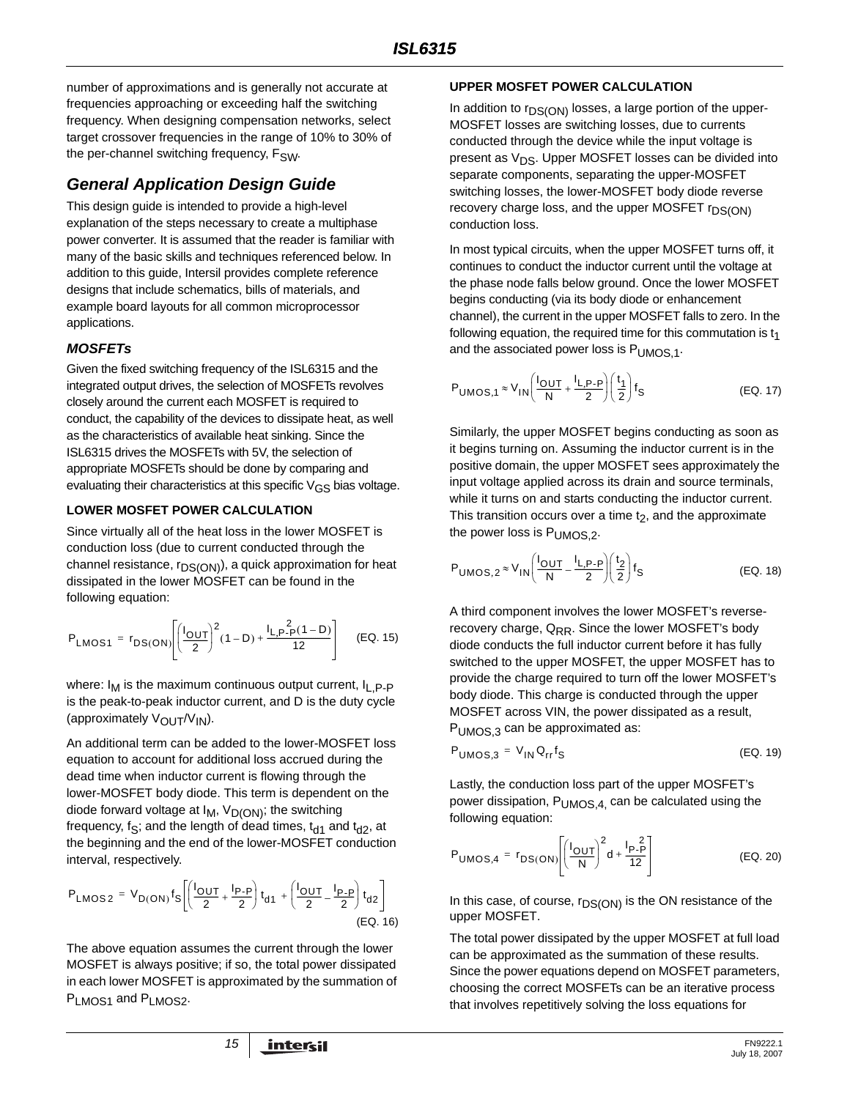number of approximations and is generally not accurate at frequencies approaching or exceeding half the switching frequency. When designing compensation networks, select target crossover frequencies in the range of 10% to 30% of the per-channel switching frequency, F<sub>SW</sub>.

## *General Application Design Guide*

This design guide is intended to provide a high-level explanation of the steps necessary to create a multiphase power converter. It is assumed that the reader is familiar with many of the basic skills and techniques referenced below. In addition to this guide, Intersil provides complete reference designs that include schematics, bills of materials, and example board layouts for all common microprocessor applications.

## *MOSFETs*

Given the fixed switching frequency of the ISL6315 and the integrated output drives, the selection of MOSFETs revolves closely around the current each MOSFET is required to conduct, the capability of the devices to dissipate heat, as well as the characteristics of available heat sinking. Since the ISL6315 drives the MOSFETs with 5V, the selection of appropriate MOSFETs should be done by comparing and evaluating their characteristics at this specific  $V_{GS}$  bias voltage.

### **LOWER MOSFET POWER CALCULATION**

Since virtually all of the heat loss in the lower MOSFET is conduction loss (due to current conducted through the channel resistance, r<sub>DS(ON)</sub>), a quick approximation for heat dissipated in the lower MOSFET can be found in the following equation:

$$
P_{LMOS1} = r_{DS(ON)} \left[ \left( \frac{I_{OUT}}{2} \right)^2 (1 - D) + \frac{I_{L,P-P}(1 - D)}{12} \right] \quad (EQ. 15)
$$

where:  $I_M$  is the maximum continuous output current,  $I_L$ ,  $P$ - $P$ is the peak-to-peak inductor current, and D is the duty cycle (approximately  $V_{\text{OUT}}/V_{\text{IN}}$ ).

An additional term can be added to the lower-MOSFET loss equation to account for additional loss accrued during the dead time when inductor current is flowing through the lower-MOSFET body diode. This term is dependent on the diode forward voltage at  $I_M$ ,  $V_{D(ON)}$ ; the switching frequency, f<sub>S</sub>; and the length of dead times,  $t_{d1}$  and  $t_{d2}$ , at the beginning and the end of the lower-MOSFET conduction interval, respectively.

$$
P_{LMOS2} = V_{D(ON)}f_S \left[ \left( \frac{I_{OUT}}{2} + \frac{I_{P-P}}{2} \right) t_{d1} + \left( \frac{I_{OUT}}{2} - \frac{I_{P-P}}{2} \right) t_{d2} \right] \tag{EQ.16}
$$

The above equation assumes the current through the lower MOSFET is always positive; if so, the total power dissipated in each lower MOSFET is approximated by the summation of P<sub>LMOS1</sub> and P<sub>LMOS2</sub>.

### **UPPER MOSFET POWER CALCULATION**

In addition to  $r_{DS(ON)}$  losses, a large portion of the upper-MOSFET losses are switching losses, due to currents conducted through the device while the input voltage is present as V<sub>DS</sub>. Upper MOSFET losses can be divided into separate components, separating the upper-MOSFET switching losses, the lower-MOSFET body diode reverse recovery charge loss, and the upper MOSFET  $r_{DS(ON)}$ conduction loss.

In most typical circuits, when the upper MOSFET turns off, it continues to conduct the inductor current until the voltage at the phase node falls below ground. Once the lower MOSFET begins conducting (via its body diode or enhancement channel), the current in the upper MOSFET falls to zero. In the following equation, the required time for this commutation is  $t_1$ and the associated power loss is PUMOS.1.

$$
P_{UMOS,1} \approx V_{IN} \left( \frac{I_{OUT}}{N} + \frac{I_{L,P-P}}{2} \right) \left( \frac{t_1}{2} \right) f_S
$$
 (EQ. 17)

Similarly, the upper MOSFET begins conducting as soon as it begins turning on. Assuming the inductor current is in the positive domain, the upper MOSFET sees approximately the input voltage applied across its drain and source terminals, while it turns on and starts conducting the inductor current. This transition occurs over a time  $t_2$ , and the approximate the power loss is PUMOS,2.

$$
P_{UMOS,2} \approx V_{IN} \left(\frac{I_{OUT}}{N} - \frac{I_{L,P-P}}{2}\right) \left(\frac{t_2}{2}\right) f_S
$$
 (EQ. 18)

A third component involves the lower MOSFET's reverserecovery charge,  $Q_{RR}$ . Since the lower MOSFET's body diode conducts the full inductor current before it has fully switched to the upper MOSFET, the upper MOSFET has to provide the charge required to turn off the lower MOSFET's body diode. This charge is conducted through the upper MOSFET across VIN, the power dissipated as a result, P<sub>UMOS, 3</sub> can be approximated as:

$$
P_{UMOS,3} = V_{IN} Q_{rr} f_S
$$
 (EQ. 19)

Lastly, the conduction loss part of the upper MOSFET's power dissipation, P<sub>UMOS, 4</sub>, can be calculated using the following equation:

$$
P_{UMOS,4} = r_{DS(ON)} \left[ \left( \frac{I_{OUT}}{N} \right)^2 d + \frac{I_{P-P}}{12} \right]
$$
 (EQ. 20)

In this case, of course,  $r_{DS(ON)}$  is the ON resistance of the upper MOSFET.

The total power dissipated by the upper MOSFET at full load can be approximated as the summation of these results. Since the power equations depend on MOSFET parameters, choosing the correct MOSFETs can be an iterative process that involves repetitively solving the loss equations for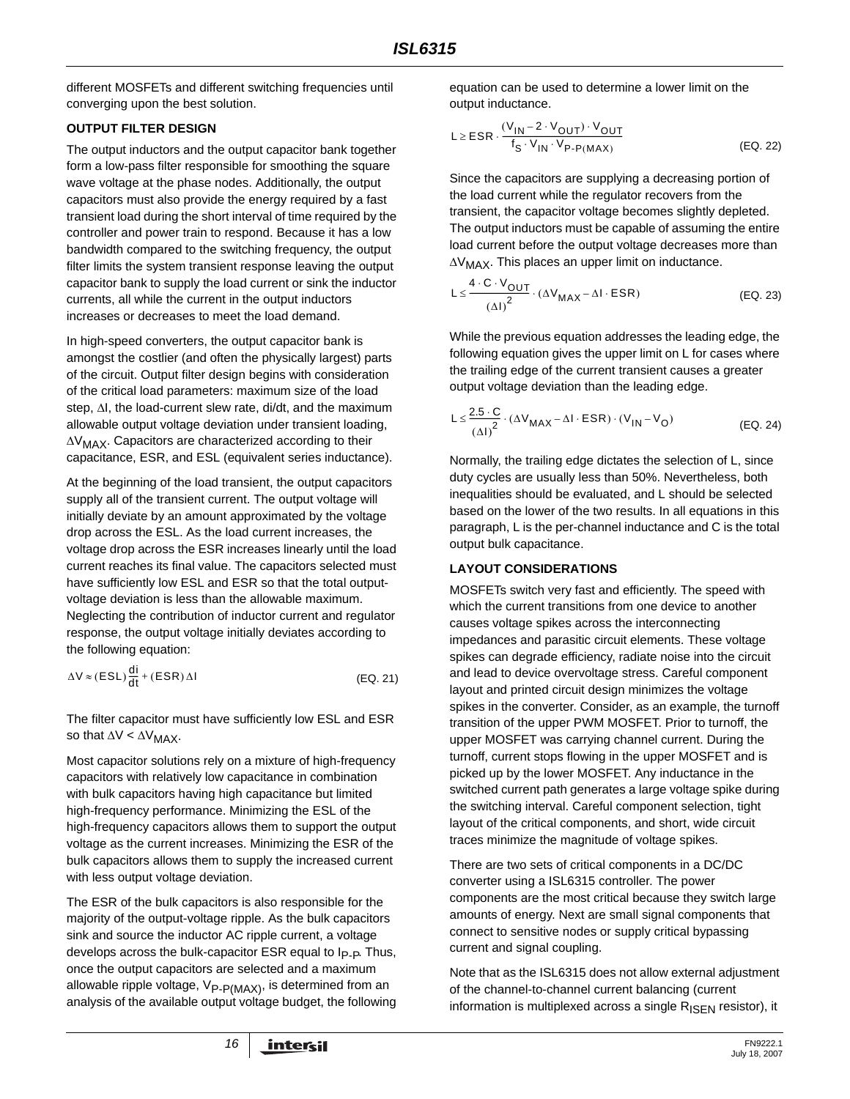different MOSFETs and different switching frequencies until converging upon the best solution.

### **OUTPUT FILTER DESIGN**

The output inductors and the output capacitor bank together form a low-pass filter responsible for smoothing the square wave voltage at the phase nodes. Additionally, the output capacitors must also provide the energy required by a fast transient load during the short interval of time required by the controller and power train to respond. Because it has a low bandwidth compared to the switching frequency, the output filter limits the system transient response leaving the output capacitor bank to supply the load current or sink the inductor currents, all while the current in the output inductors increases or decreases to meet the load demand.

In high-speed converters, the output capacitor bank is amongst the costlier (and often the physically largest) parts of the circuit. Output filter design begins with consideration of the critical load parameters: maximum size of the load step, ΔI, the load-current slew rate, di/dt, and the maximum allowable output voltage deviation under transient loading, ΔVMAX. Capacitors are characterized according to their capacitance, ESR, and ESL (equivalent series inductance).

At the beginning of the load transient, the output capacitors supply all of the transient current. The output voltage will initially deviate by an amount approximated by the voltage drop across the ESL. As the load current increases, the voltage drop across the ESR increases linearly until the load current reaches its final value. The capacitors selected must have sufficiently low ESL and ESR so that the total outputvoltage deviation is less than the allowable maximum. Neglecting the contribution of inductor current and regulator response, the output voltage initially deviates according to the following equation:

$$
\Delta V \approx (ESL) \frac{di}{dt} + (ESR) \Delta I
$$
 (EQ. 21)

The filter capacitor must have sufficiently low ESL and ESR so that  $\Delta V < \Delta V_{MAX}$ .

Most capacitor solutions rely on a mixture of high-frequency capacitors with relatively low capacitance in combination with bulk capacitors having high capacitance but limited high-frequency performance. Minimizing the ESL of the high-frequency capacitors allows them to support the output voltage as the current increases. Minimizing the ESR of the bulk capacitors allows them to supply the increased current with less output voltage deviation.

The ESR of the bulk capacitors is also responsible for the majority of the output-voltage ripple. As the bulk capacitors sink and source the inductor AC ripple current, a voltage develops across the bulk-capacitor ESR equal to  $I_{P-P}$ . Thus, once the output capacitors are selected and a maximum allowable ripple voltage,  $V_{P-P(MAX)}$ , is determined from an analysis of the available output voltage budget, the following equation can be used to determine a lower limit on the output inductance.

$$
L \ge ESR \cdot \frac{(V_{IN} - 2 \cdot V_{OUT}) \cdot V_{OUT}}{f_S \cdot V_{IN} \cdot V_{P\text{-}P(MAX)}} \tag{Eq. 22}
$$

Since the capacitors are supplying a decreasing portion of the load current while the regulator recovers from the transient, the capacitor voltage becomes slightly depleted. The output inductors must be capable of assuming the entire load current before the output voltage decreases more than  $\Delta V_{MAX}$ . This places an upper limit on inductance.

$$
L \le \frac{4 \cdot C \cdot V_{OUT}}{(\Delta I)^2} \cdot (\Delta V_{MAX} - \Delta I \cdot ESR)
$$
 (EQ. 23)

While the previous equation addresses the leading edge, the following equation gives the upper limit on L for cases where the trailing edge of the current transient causes a greater output voltage deviation than the leading edge.

$$
L \leq \frac{2.5 \cdot C}{(\Delta I)^2} \cdot (\Delta V_{MAX} - \Delta I \cdot ESR) \cdot (V_{IN} - V_O)
$$
 (EQ. 24)

Normally, the trailing edge dictates the selection of L, since duty cycles are usually less than 50%. Nevertheless, both inequalities should be evaluated, and L should be selected based on the lower of the two results. In all equations in this paragraph, L is the per-channel inductance and C is the total output bulk capacitance.

### **LAYOUT CONSIDERATIONS**

MOSFETs switch very fast and efficiently. The speed with which the current transitions from one device to another causes voltage spikes across the interconnecting impedances and parasitic circuit elements. These voltage spikes can degrade efficiency, radiate noise into the circuit and lead to device overvoltage stress. Careful component layout and printed circuit design minimizes the voltage spikes in the converter. Consider, as an example, the turnoff transition of the upper PWM MOSFET. Prior to turnoff, the upper MOSFET was carrying channel current. During the turnoff, current stops flowing in the upper MOSFET and is picked up by the lower MOSFET. Any inductance in the switched current path generates a large voltage spike during the switching interval. Careful component selection, tight layout of the critical components, and short, wide circuit traces minimize the magnitude of voltage spikes.

There are two sets of critical components in a DC/DC converter using a ISL6315 controller. The power components are the most critical because they switch large amounts of energy. Next are small signal components that connect to sensitive nodes or supply critical bypassing current and signal coupling.

Note that as the ISL6315 does not allow external adjustment of the channel-to-channel current balancing (current information is multiplexed across a single  $R_{\text{ISFN}}$  resistor), it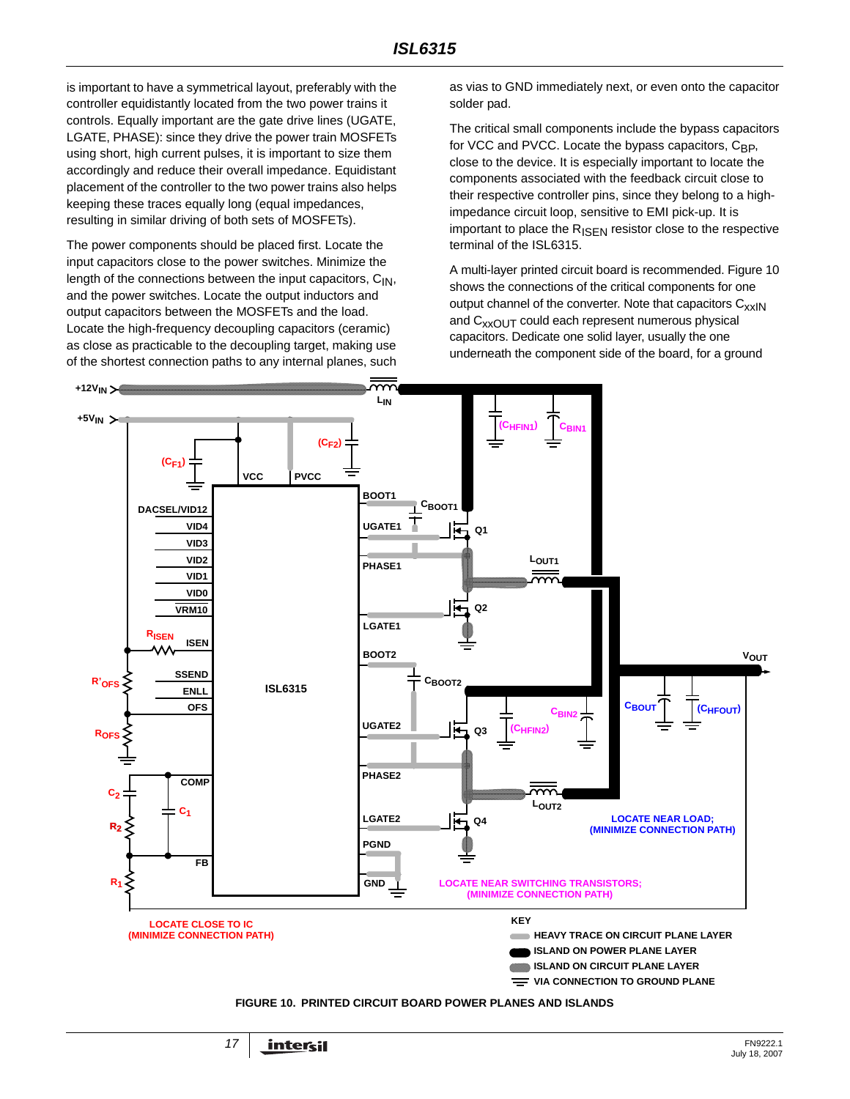is important to have a symmetrical layout, preferably with the controller equidistantly located from the two power trains it controls. Equally important are the gate drive lines (UGATE, LGATE, PHASE): since they drive the power train MOSFETs using short, high current pulses, it is important to size them accordingly and reduce their overall impedance. Equidistant placement of the controller to the two power trains also helps keeping these traces equally long (equal impedances, resulting in similar driving of both sets of MOSFETs).

The power components should be placed first. Locate the input capacitors close to the power switches. Minimize the length of the connections between the input capacitors,  $C_{1N}$ , and the power switches. Locate the output inductors and output capacitors between the MOSFETs and the load. Locate the high-frequency decoupling capacitors (ceramic) as close as practicable to the decoupling target, making use of the shortest connection paths to any internal planes, such

as vias to GND immediately next, or even onto the capacitor solder pad.

The critical small components include the bypass capacitors for VCC and PVCC. Locate the bypass capacitors, C<sub>BP</sub>, close to the device. It is especially important to locate the components associated with the feedback circuit close to their respective controller pins, since they belong to a highimpedance circuit loop, sensitive to EMI pick-up. It is important to place the  $R_{\text{ISEN}}$  resistor close to the respective terminal of the ISL6315.

A multi-layer printed circuit board is recommended. Figure [10](#page-16-0)  shows the connections of the critical components for one output channel of the converter. Note that capacitors  $C_{xx}$ <sub>IN</sub> and  $C_{XXOUT}$  could each represent numerous physical capacitors. Dedicate one solid layer, usually the one underneath the component side of the board, for a ground



<span id="page-16-0"></span>**FIGURE 10. PRINTED CIRCUIT BOARD POWER PLANES AND ISLANDS**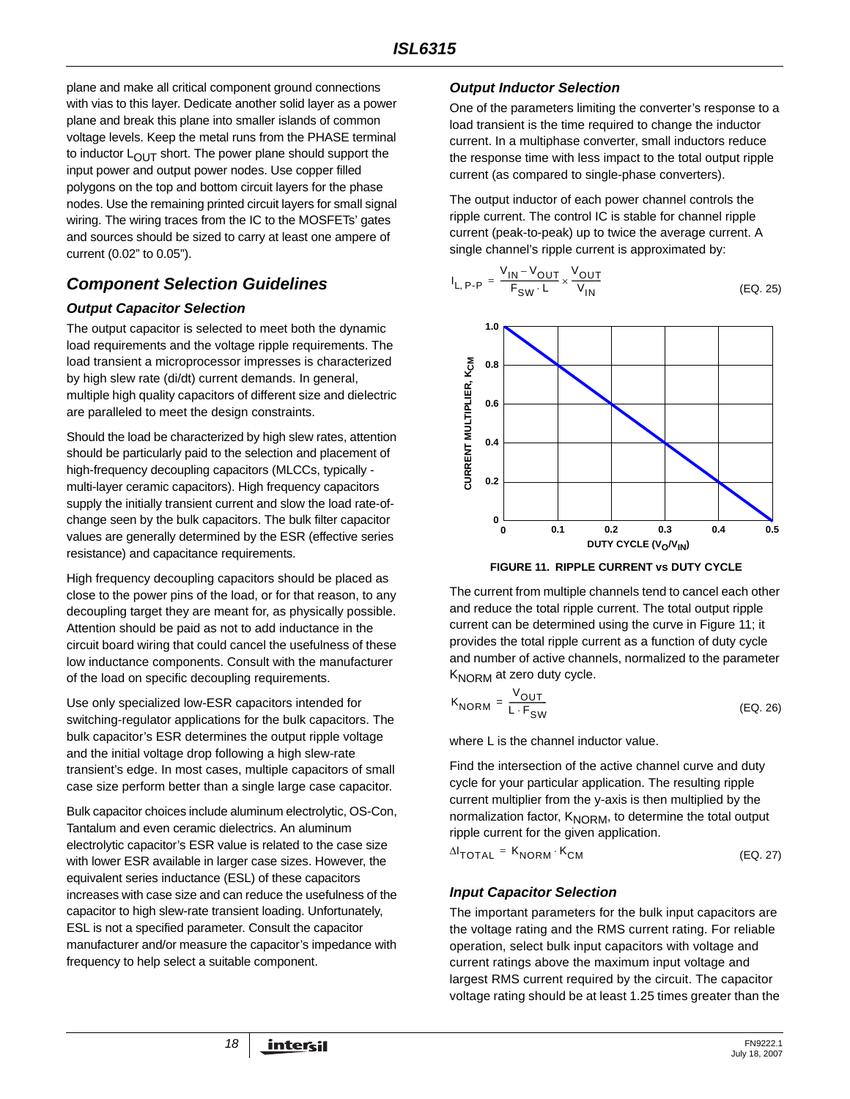plane and make all critical component ground connections with vias to this layer. Dedicate another solid layer as a power plane and break this plane into smaller islands of common voltage levels. Keep the metal runs from the PHASE terminal to inductor  $L_{\text{OUT}}$  short. The power plane should support the input power and output power nodes. Use copper filled polygons on the top and bottom circuit layers for the phase nodes. Use the remaining printed circuit layers for small signal wiring. The wiring traces from the IC to the MOSFETs' gates and sources should be sized to carry at least one ampere of current (0.02" to 0.05").

# *Component Selection Guidelines*

### *Output Capacitor Selection*

The output capacitor is selected to meet both the dynamic load requirements and the voltage ripple requirements. The load transient a microprocessor impresses is characterized by high slew rate (di/dt) current demands. In general, multiple high quality capacitors of different size and dielectric are paralleled to meet the design constraints.

Should the load be characterized by high slew rates, attention should be particularly paid to the selection and placement of high-frequency decoupling capacitors (MLCCs, typically multi-layer ceramic capacitors). High frequency capacitors supply the initially transient current and slow the load rate-ofchange seen by the bulk capacitors. The bulk filter capacitor values are generally determined by the ESR (effective series resistance) and capacitance requirements.

High frequency decoupling capacitors should be placed as close to the power pins of the load, or for that reason, to any decoupling target they are meant for, as physically possible. Attention should be paid as not to add inductance in the circuit board wiring that could cancel the usefulness of these low inductance components. Consult with the manufacturer of the load on specific decoupling requirements.

Use only specialized low-ESR capacitors intended for switching-regulator applications for the bulk capacitors. The bulk capacitor's ESR determines the output ripple voltage and the initial voltage drop following a high slew-rate transient's edge. In most cases, multiple capacitors of small case size perform better than a single large case capacitor.

Bulk capacitor choices include aluminum electrolytic, OS-Con, Tantalum and even ceramic dielectrics. An aluminum electrolytic capacitor's ESR value is related to the case size with lower ESR available in larger case sizes. However, the equivalent series inductance (ESL) of these capacitors increases with case size and can reduce the usefulness of the capacitor to high slew-rate transient loading. Unfortunately, ESL is not a specified parameter. Consult the capacitor manufacturer and/or measure the capacitor's impedance with frequency to help select a suitable component.

### *Output Inductor Selection*

One of the parameters limiting the converter's response to a load transient is the time required to change the inductor current. In a multiphase converter, small inductors reduce the response time with less impact to the total output ripple current (as compared to single-phase converters).

The output inductor of each power channel controls the ripple current. The control IC is stable for channel ripple current (peak-to-peak) up to twice the average current. A single channel's ripple current is approximated by:

$$
I_{L, P\text{-}P} = \frac{V_{\text{IN}} - V_{\text{OUT}}}{F_{\text{SW}} \cdot L} \times \frac{V_{\text{OUT}}}{V_{\text{IN}}}
$$
 (EQ. 25)





<span id="page-17-1"></span>The current from multiple channels tend to cancel each other and reduce the total ripple current. The total output ripple current can be determined using the curve in Figure [11;](#page-17-1) it provides the total ripple current as a function of duty cycle and number of active channels, normalized to the parameter K<sub>NORM</sub> at zero duty cycle.

$$
K_{NORM} = \frac{V_{OUT}}{L \cdot F_{SW}}
$$
 (EQ. 26)

where L is the channel inductor value.

Find the intersection of the active channel curve and duty cycle for your particular application. The resulting ripple current multiplier from the y-axis is then multiplied by the normalization factor, K<sub>NORM</sub>, to determine the total output ripple current for the given application.

| $\Delta I$ <sub>TOTAL</sub> = $K_{NORM} \cdot K_{CM}$ | (EQ. 27) |
|-------------------------------------------------------|----------|
|-------------------------------------------------------|----------|

### <span id="page-17-0"></span>*Input Capacitor Selection*

The important parameters for the bulk input capacitors are the voltage rating and the RMS current rating. For reliable operation, select bulk input capacitors with voltage and current ratings above the maximum input voltage and largest RMS current required by the circuit. The capacitor voltage rating should be at least 1.25 times greater than the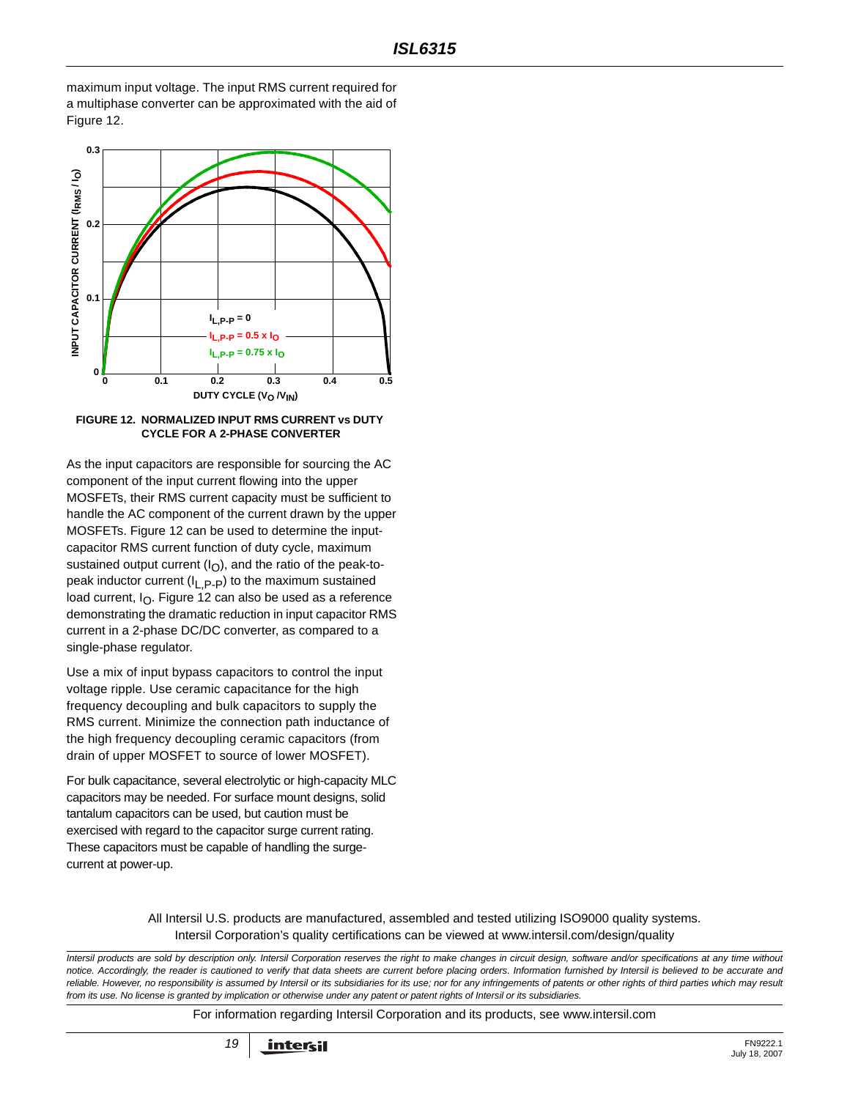maximum input voltage. The input RMS current required for a multiphase converter can be approximated with the aid of Figure [12.](#page-18-0)



#### <span id="page-18-0"></span>**FIGURE 12. NORMALIZED INPUT RMS CURRENT vs DUTY CYCLE FOR A 2-PHASE CONVERTER**

As the input capacitors are responsible for sourcing the AC component of the input current flowing into the upper MOSFETs, their RMS current capacity must be sufficient to handle the AC component of the current drawn by the upper MOSFETs. Figure [12](#page-18-0) can be used to determine the inputcapacitor RMS current function of duty cycle, maximum sustained output current  $(I<sub>O</sub>)$ , and the ratio of the peak-topeak inductor current  $(I_1, P_P)$  to the maximum sustained load current,  $I_{\Omega}$ . Figure [12](#page-18-0) can also be used as a reference demonstrating the dramatic reduction in input capacitor RMS current in a 2-phase DC/DC converter, as compared to a single-phase regulator.

Use a mix of input bypass capacitors to control the input voltage ripple. Use ceramic capacitance for the high frequency decoupling and bulk capacitors to supply the RMS current. Minimize the connection path inductance of the high frequency decoupling ceramic capacitors (from drain of upper MOSFET to source of lower MOSFET).

For bulk capacitance, several electrolytic or high-capacity MLC capacitors may be needed. For surface mount designs, solid tantalum capacitors can be used, but caution must be exercised with regard to the capacitor surge current rating. These capacitors must be capable of handling the surgecurrent at power-up.

> All Intersil U.S. products are manufactured, assembled and tested utilizing ISO9000 quality systems. Intersil Corporation's quality certifications can be viewed at www.intersil.com/design/quality

*Intersil products are sold by description only. Intersil Corporation reserves the right to make changes in circuit design, software and/or specifications at any time without notice. Accordingly, the reader is cautioned to verify that data sheets are current before placing orders. Information furnished by Intersil is believed to be accurate and* reliable. However, no responsibility is assumed by Intersil or its subsidiaries for its use; nor for any infringements of patents or other rights of third parties which may result *from its use. No license is granted by implication or otherwise under any patent or patent rights of Intersil or its subsidiaries.*

For information regarding Intersil Corporation and its products, see www.intersil.com